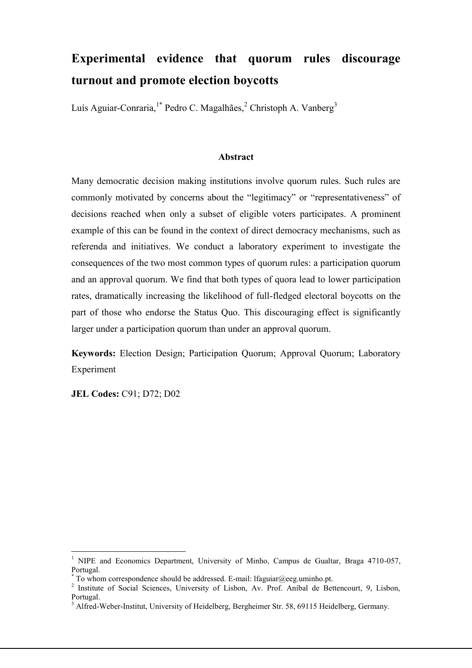# **Experimental evidence that quorum rules discourage turnout and promote election boycotts**

Luís Aguiar-Conraria,<sup>1\*</sup> Pedro C. Magalhães,<sup>2</sup> Christoph A. Vanberg<sup>3</sup>

### **Abstract**

Many democratic decision making institutions involve quorum rules. Such rules are commonly motivated by concerns about the "legitimacy" or "representativeness" of decisions reached when only a subset of eligible voters participates. A prominent example of this can be found in the context of direct democracy mechanisms, such as referenda and initiatives. We conduct a laboratory experiment to investigate the consequences of the two most common types of quorum rules: a participation quorum and an approval quorum. We find that both types of quora lead to lower participation rates, dramatically increasing the likelihood of full-fledged electoral boycotts on the part of those who endorse the Status Quo. This discouraging effect is significantly larger under a participation quorum than under an approval quorum.

**Keywords:** Election Design; Participation Quorum; Approval Quorum; Laboratory Experiment

**JEL Codes:** C91; D72; D02

 $\overline{a}$ 

<sup>&</sup>lt;sup>1</sup> NIPE and Economics Department, University of Minho, Campus de Gualtar, Braga 4710-057, Portugal.

<sup>\*</sup> To whom correspondence should be addressed. E-mail: lfaguiar@eeg.uminho.pt.

<sup>&</sup>lt;sup>2</sup> Institute of Social Sciences, University of Lisbon, Av. Prof. Aníbal de Bettencourt, 9, Lisbon, Portugal.

<sup>&</sup>lt;sup>3</sup> Alfred-Weber-Institut, University of Heidelberg, Bergheimer Str. 58, 69115 Heidelberg, Germany.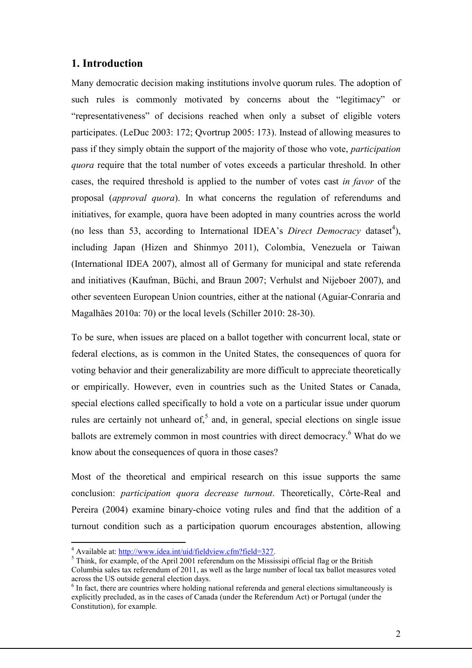## **1. Introduction**

Many democratic decision making institutions involve quorum rules. The adoption of such rules is commonly motivated by concerns about the "legitimacy" or "representativeness" of decisions reached when only a subset of eligible voters participates. (LeDuc 2003: 172; Qvortrup 2005: 173). Instead of allowing measures to pass if they simply obtain the support of the majority of those who vote, *participation quora* require that the total number of votes exceeds a particular threshold. In other cases, the required threshold is applied to the number of votes cast *in favor* of the proposal (*approval quora*). In what concerns the regulation of referendums and initiatives, for example, quora have been adopted in many countries across the world (no less than 53, according to International IDEA's *Direct Democracy* dataset<sup>4</sup>), including Japan (Hizen and Shinmyo 2011), Colombia, Venezuela or Taiwan (International IDEA 2007), almost all of Germany for municipal and state referenda and initiatives (Kaufman, Büchi, and Braun 2007; Verhulst and Nijeboer 2007), and other seventeen European Union countries, either at the national (Aguiar-Conraria and Magalhães 2010a: 70) or the local levels (Schiller 2010: 28-30).

To be sure, when issues are placed on a ballot together with concurrent local, state or federal elections, as is common in the United States, the consequences of quora for voting behavior and their generalizability are more difficult to appreciate theoretically or empirically. However, even in countries such as the United States or Canada, special elections called specifically to hold a vote on a particular issue under quorum rules are certainly not unheard of,<sup>5</sup> and, in general, special elections on single issue ballots are extremely common in most countries with direct democracy.<sup>6</sup> What do we know about the consequences of quora in those cases?

Most of the theoretical and empirical research on this issue supports the same conclusion: *participation quora decrease turnout*. Theoretically, Côrte-Real and Pereira (2004) examine binary-choice voting rules and find that the addition of a turnout condition such as a participation quorum encourages abstention, allowing

l

<sup>&</sup>lt;sup>4</sup> Available at[: http://www.idea.int/uid/fieldview.cfm?field=327.](http://www.idea.int/uid/fieldview.cfm?field=327)

<sup>&</sup>lt;sup>5</sup> Think, for example, of the April 2001 referendum on the Mississipi official flag or the British Columbia sales tax referendum of 2011, as well as the large number of local tax ballot measures voted across the US outside general election days.

<sup>&</sup>lt;sup>6</sup> In fact, there are countries where holding national referenda and general elections simultaneously is explicitly precluded, as in the cases of Canada (under the Referendum Act) or Portugal (under the Constitution), for example.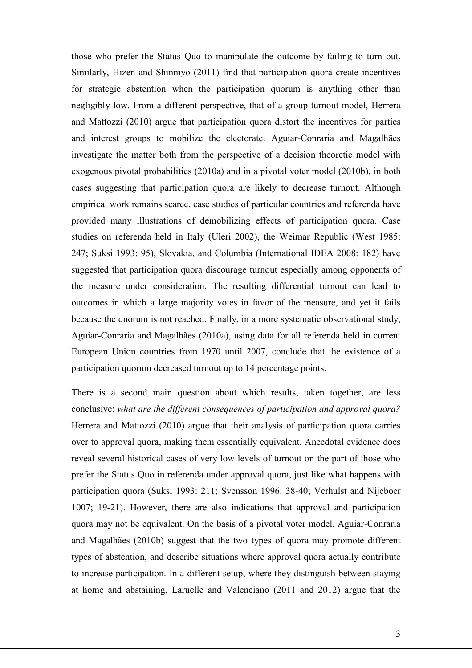those who prefer the Status Quo to manipulate the outcome by failing to turn out. Similarly, Hizen and Shinmyo (2011) find that participation quora create incentives for strategic abstention when the participation quorum is anything other than negligibly low. From a different perspective, that of a group turnout model, Herrera and Mattozzi (2010) argue that participation quora distort the incentives for parties and interest groups to mobilize the electorate. Aguiar-Conraria and Magalhães investigate the matter both from the perspective of a decision theoretic model with exogenous pivotal probabilities (2010a) and in a pivotal voter model (2010b), in both cases suggesting that participation quora are likely to decrease turnout. Although empirical work remains scarce, case studies of particular countries and referenda have provided many illustrations of demobilizing effects of participation quora. Case studies on referenda held in Italy (Uleri 2002), the Weimar Republic (West 1985: 247; Suksi 1993: 95), Slovakia, and Columbia (International IDEA 2008: 182) have suggested that participation quora discourage turnout especially among opponents of the measure under consideration. The resulting differential turnout can lead to outcomes in which a large majority votes in favor of the measure, and yet it fails because the quorum is not reached. Finally, in a more systematic observational study, Aguiar-Conraria and Magalhães (2010a), using data for all referenda held in current European Union countries from 1970 until 2007, conclude that the existence of a participation quorum decreased turnout up to 14 percentage points.

There is a second main question about which results, taken together, are less conclusive: *what are the different consequences of participation and approval quora?* Herrera and Mattozzi (2010) argue that their analysis of participation quora carries over to approval quora, making them essentially equivalent. Anecdotal evidence does reveal several historical cases of very low levels of turnout on the part of those who prefer the Status Quo in referenda under approval quora, just like what happens with participation quora (Suksi 1993: 211; Svensson 1996: 38-40; Verhulst and Nijeboer 1007; 19-21). However, there are also indications that approval and participation quora may not be equivalent. On the basis of a pivotal voter model, Aguiar-Conraria and Magalhães (2010b) suggest that the two types of quora may promote different types of abstention, and describe situations where approval quora actually contribute to increase participation. In a different setup, where they distinguish between staying at home and abstaining, Laruelle and Valenciano (2011 and 2012) argue that the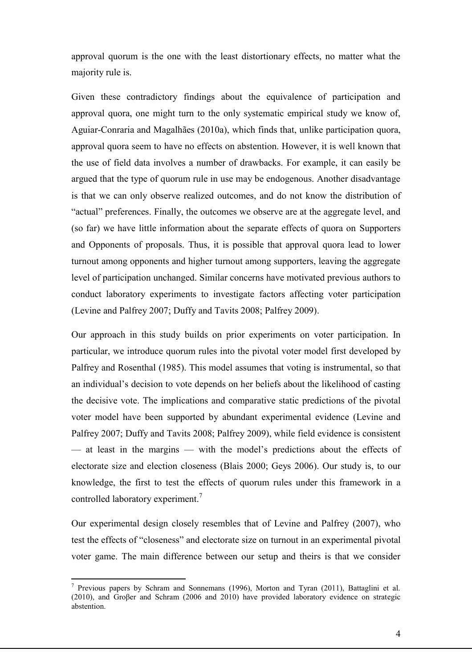approval quorum is the one with the least distortionary effects, no matter what the majority rule is.

Given these contradictory findings about the equivalence of participation and approval quora, one might turn to the only systematic empirical study we know of, Aguiar-Conraria and Magalhães (2010a), which finds that, unlike participation quora, approval quora seem to have no effects on abstention. However, it is well known that the use of field data involves a number of drawbacks. For example, it can easily be argued that the type of quorum rule in use may be endogenous. Another disadvantage is that we can only observe realized outcomes, and do not know the distribution of "actual" preferences. Finally, the outcomes we observe are at the aggregate level, and (so far) we have little information about the separate effects of quora on Supporters and Opponents of proposals. Thus, it is possible that approval quora lead to lower turnout among opponents and higher turnout among supporters, leaving the aggregate level of participation unchanged. Similar concerns have motivated previous authors to conduct laboratory experiments to investigate factors affecting voter participation (Levine and Palfrey 2007; Duffy and Tavits 2008; Palfrey 2009).

Our approach in this study builds on prior experiments on voter participation. In particular, we introduce quorum rules into the pivotal voter model first developed by Palfrey and Rosenthal (1985). This model assumes that voting is instrumental, so that an individual's decision to vote depends on her beliefs about the likelihood of casting the decisive vote. The implications and comparative static predictions of the pivotal voter model have been supported by abundant experimental evidence (Levine and Palfrey 2007; Duffy and Tavits 2008; Palfrey 2009), while field evidence is consistent — at least in the margins — with the model's predictions about the effects of electorate size and election closeness (Blais 2000; Geys 2006). Our study is, to our knowledge, the first to test the effects of quorum rules under this framework in a controlled laboratory experiment. 7

Our experimental design closely resembles that of Levine and Palfrey (2007), who test the effects of "closeness" and electorate size on turnout in an experimental pivotal voter game. The main difference between our setup and theirs is that we consider

 $\overline{a}$ 

<sup>&</sup>lt;sup>7</sup> Previous papers by Schram and Sonnemans (1996), Morton and Tyran (2011), Battaglini et al. (2010), and Groβer and Schram (2006 and 2010) have provided laboratory evidence on strategic abstention.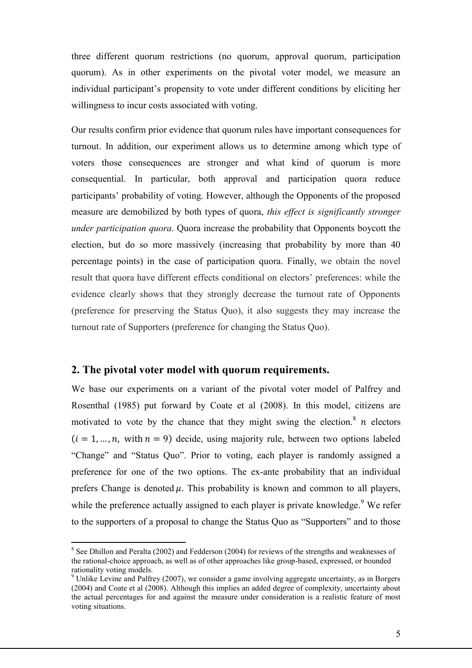three different quorum restrictions (no quorum, approval quorum, participation quorum). As in other experiments on the pivotal voter model, we measure an individual participant's propensity to vote under different conditions by eliciting her willingness to incur costs associated with voting.

Our results confirm prior evidence that quorum rules have important consequences for turnout. In addition, our experiment allows us to determine among which type of voters those consequences are stronger and what kind of quorum is more consequential. In particular, both approval and participation quora reduce participants' probability of voting. However, although the Opponents of the proposed measure are demobilized by both types of quora, *this effect is significantly stronger under participation quora*. Quora increase the probability that Opponents boycott the election, but do so more massively (increasing that probability by more than 40 percentage points) in the case of participation quora. Finally, we obtain the novel result that quora have different effects conditional on electors' preferences: while the evidence clearly shows that they strongly decrease the turnout rate of Opponents (preference for preserving the Status Quo), it also suggests they may increase the turnout rate of Supporters (preference for changing the Status Quo).

## **2. The pivotal voter model with quorum requirements.**

l

We base our experiments on a variant of the pivotal voter model of Palfrey and Rosenthal (1985) put forward by Coate et al (2008). In this model, citizens are motivated to vote by the chance that they might swing the election.<sup>8</sup> *n* electors  $(i = 1, ..., n,$  with  $n = 9$ ) decide, using majority rule, between two options labeled "Change" and "Status Quo". Prior to voting, each player is randomly assigned a preference for one of the two options. The ex-ante probability that an individual prefers Change is denoted  $\mu$ . This probability is known and common to all players, while the preference actually assigned to each player is private knowledge.<sup>9</sup> We refer to the supporters of a proposal to change the Status Quo as "Supporters" and to those

 $8$  See Dhillon and Peralta (2002) and Fedderson (2004) for reviews of the strengths and weaknesses of the rational-choice approach, as well as of other approaches like group-based, expressed, or bounded rationality voting models.

<sup>&</sup>lt;sup>9</sup> Unlike Levine and Palfrey (2007), we consider a game involving aggregate uncertainty, as in Borgers (2004) and Coate et al (2008). Although this implies an added degree of complexity, uncertainty about the actual percentages for and against the measure under consideration is a realistic feature of most voting situations.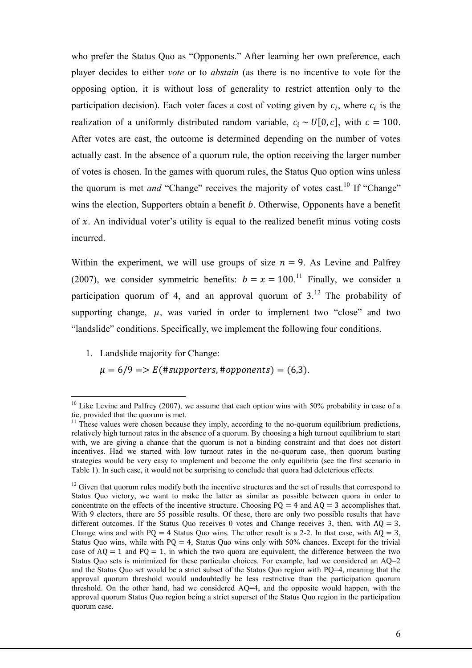who prefer the Status Quo as "Opponents." After learning her own preference, each player decides to either *vote* or to *abstain* (as there is no incentive to vote for the opposing option, it is without loss of generality to restrict attention only to the participation decision). Each voter faces a cost of voting given by  $c_i$ , where  $c_i$  is the realization of a uniformly distributed random variable,  $c_i \sim U[0, c]$ , with  $c = 100$ . After votes are cast, the outcome is determined depending on the number of votes actually cast. In the absence of a quorum rule, the option receiving the larger number of votes is chosen. In the games with quorum rules, the Status Quo option wins unless the quorum is met *and* "Change" receives the majority of votes cast.<sup>10</sup> If "Change" wins the election, Supporters obtain a benefit  $b$ . Otherwise, Opponents have a benefit of  $x$ . An individual voter's utility is equal to the realized benefit minus voting costs incurred.

Within the experiment, we will use groups of size  $n = 9$ . As Levine and Palfrey (2007), we consider symmetric benefits:  $b = x = 100$ .<sup>11</sup> Finally, we consider a participation quorum of 4, and an approval quorum of  $3<sup>12</sup>$ . The probability of supporting change,  $\mu$ , was varied in order to implement two "close" and two "landslide" conditions. Specifically, we implement the following four conditions.

1. Landslide majority for Change:

 $\overline{\phantom{a}}$ 

 $\mu = 6/9 \implies E$ (#supporters, #opponents) = (6.3).

 $10$  Like Levine and Palfrey (2007), we assume that each option wins with 50% probability in case of a tie, provided that the quorum is met.

 $11$  These values were chosen because they imply, according to the no-quorum equilibrium predictions, relatively high turnout rates in the absence of a quorum. By choosing a high turnout equilibrium to start with, we are giving a chance that the quorum is not a binding constraint and that does not distort incentives. Had we started with low turnout rates in the no-quorum case, then quorum busting strategies would be very easy to implement and become the only equilibria (see the first scenario in Table 1). In such case, it would not be surprising to conclude that quora had deleterious effects.

 $12$  Given that quorum rules modify both the incentive structures and the set of results that correspond to Status Quo victory, we want to make the latter as similar as possible between quora in order to concentrate on the effects of the incentive structure. Choosing  $PQ = 4$  and  $AQ = 3$  accomplishes that. With 9 electors, there are 55 possible results. Of these, there are only two possible results that have different outcomes. If the Status Quo receives 0 votes and Change receives 3, then, with  $AQ = 3$ , Change wins and with  $PQ = 4$  Status Quo wins. The other result is a 2-2. In that case, with  $AQ = 3$ , Status Quo wins, while with  $PQ = 4$ , Status Quo wins only with 50% chances. Except for the trivial case of  $AQ = 1$  and  $PQ = 1$ , in which the two quora are equivalent, the difference between the two Status Quo sets is minimized for these particular choices. For example, had we considered an AQ=2 and the Status Quo set would be a strict subset of the Status Quo region with PQ=4, meaning that the approval quorum threshold would undoubtedly be less restrictive than the participation quorum threshold. On the other hand, had we considered  $AO=4$ , and the opposite would happen, with the approval quorum Status Quo region being a strict superset of the Status Quo region in the participation quorum case.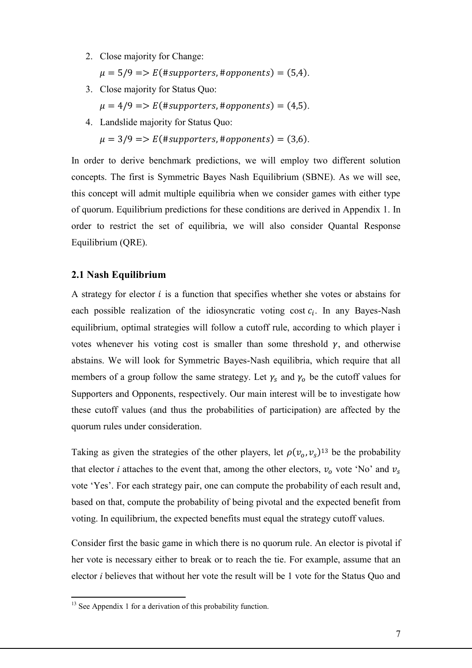2. Close majority for Change:

 $\mu = 5/9 \implies E$ (#supporters,#opponents) = (5,4).

- 3. Close majority for Status Quo:  $\mu = 4/9 \implies E$ (#supporters, #opponents) = (4,5).
- 4. Landslide majority for Status Quo:

 $\mu = 3/9 \implies E$ (#supporters,#opponents) = (3,6).

In order to derive benchmark predictions, we will employ two different solution concepts. The first is Symmetric Bayes Nash Equilibrium (SBNE). As we will see, this concept will admit multiple equilibria when we consider games with either type of quorum. Equilibrium predictions for these conditions are derived in Appendix 1. In order to restrict the set of equilibria, we will also consider Quantal Response Equilibrium (QRE).

## **2.1 Nash Equilibrium**

A strategy for elector  $i$  is a function that specifies whether she votes or abstains for each possible realization of the idiosyncratic voting cost  $c_i$ . In any Bayes-Nash equilibrium, optimal strategies will follow a cutoff rule, according to which player i votes whenever his voting cost is smaller than some threshold  $\gamma$ , and otherwise abstains. We will look for Symmetric Bayes-Nash equilibria, which require that all members of a group follow the same strategy. Let  $\gamma_s$  and  $\gamma_o$  be the cutoff values for Supporters and Opponents, respectively. Our main interest will be to investigate how these cutoff values (and thus the probabilities of participation) are affected by the quorum rules under consideration.

Taking as given the strategies of the other players, let  $\rho(v_o, v_s)^{13}$  be the probability that elector *i* attaches to the event that, among the other electors,  $v_0$  vote 'No' and  $v_s$ vote 'Yes'. For each strategy pair, one can compute the probability of each result and, based on that, compute the probability of being pivotal and the expected benefit from voting. In equilibrium, the expected benefits must equal the strategy cutoff values.

Consider first the basic game in which there is no quorum rule. An elector is pivotal if her vote is necessary either to break or to reach the tie. For example, assume that an elector *i* believes that without her vote the result will be 1 vote for the Status Quo and

 $\overline{a}$ 

 $13$  See Appendix 1 for a derivation of this probability function.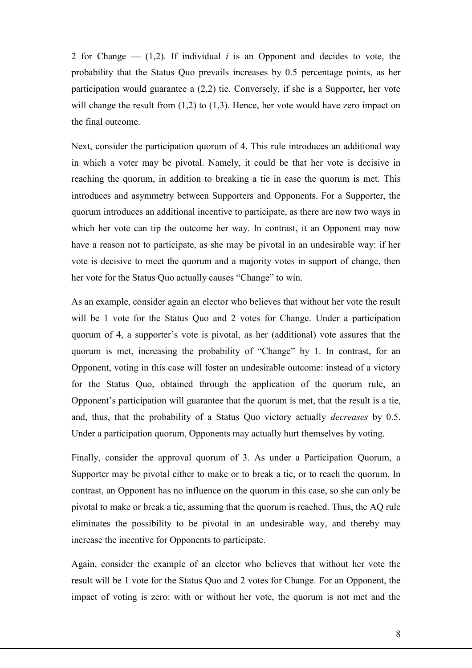2 for Change  $-$  (1,2). If individual *i* is an Opponent and decides to vote, the probability that the Status Quo prevails increases by 0.5 percentage points, as her participation would guarantee a (2,2) tie. Conversely, if she is a Supporter, her vote will change the result from  $(1,2)$  to  $(1,3)$ . Hence, her vote would have zero impact on the final outcome.

Next, consider the participation quorum of 4. This rule introduces an additional way in which a voter may be pivotal. Namely, it could be that her vote is decisive in reaching the quorum, in addition to breaking a tie in case the quorum is met. This introduces and asymmetry between Supporters and Opponents. For a Supporter, the quorum introduces an additional incentive to participate, as there are now two ways in which her vote can tip the outcome her way. In contrast, it an Opponent may now have a reason not to participate, as she may be pivotal in an undesirable way: if her vote is decisive to meet the quorum and a majority votes in support of change, then her vote for the Status Quo actually causes "Change" to win.

As an example, consider again an elector who believes that without her vote the result will be 1 vote for the Status Quo and 2 votes for Change. Under a participation quorum of 4, a supporter's vote is pivotal, as her (additional) vote assures that the quorum is met, increasing the probability of "Change" by 1. In contrast, for an Opponent, voting in this case will foster an undesirable outcome: instead of a victory for the Status Quo, obtained through the application of the quorum rule, an Opponent's participation will guarantee that the quorum is met, that the result is a tie, and, thus, that the probability of a Status Quo victory actually *decreases* by 0.5. Under a participation quorum, Opponents may actually hurt themselves by voting.

Finally, consider the approval quorum of 3. As under a Participation Quorum, a Supporter may be pivotal either to make or to break a tie, or to reach the quorum. In contrast, an Opponent has no influence on the quorum in this case, so she can only be pivotal to make or break a tie, assuming that the quorum is reached. Thus, the AQ rule eliminates the possibility to be pivotal in an undesirable way, and thereby may increase the incentive for Opponents to participate.

Again, consider the example of an elector who believes that without her vote the result will be 1 vote for the Status Quo and 2 votes for Change. For an Opponent, the impact of voting is zero: with or without her vote, the quorum is not met and the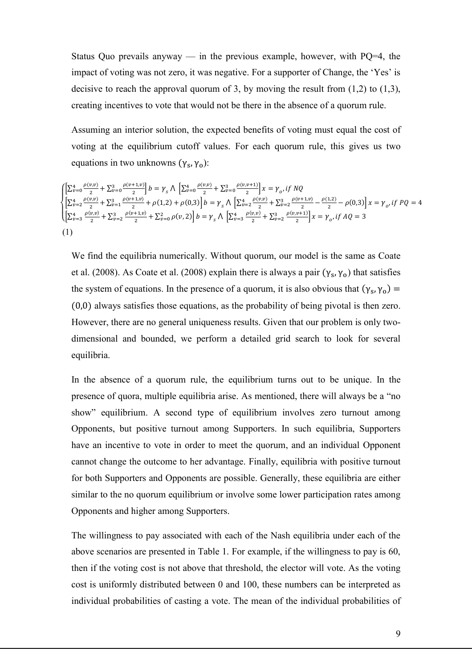Status Quo prevails anyway — in the previous example, however, with  $PQ=4$ , the impact of voting was not zero, it was negative. For a supporter of Change, the 'Yes' is decisive to reach the approval quorum of 3, by moving the result from  $(1,2)$  to  $(1,3)$ , creating incentives to vote that would not be there in the absence of a quorum rule.

Assuming an interior solution, the expected benefits of voting must equal the cost of voting at the equilibrium cutoff values. For each quorum rule, this gives us two equations in two unknowns  $(\gamma_s, \gamma_o)$ :

$$
\begin{cases}\n\left[\sum_{\nu=0}^{4} \frac{\rho(\nu,\nu)}{2} + \sum_{\nu=0}^{3} \frac{\rho(\nu+1,\nu)}{2}\right] b = \gamma_{s} \Lambda \left[\sum_{\nu=0}^{4} \frac{\rho(\nu,\nu)}{2} + \sum_{\nu=0}^{3} \frac{\rho(\nu,\nu+1)}{2}\right] x = \gamma_{o}, \text{if } NQ \\
\left[\sum_{\nu=2}^{4} \frac{\rho(\nu,\nu)}{2} + \sum_{\nu=1}^{3} \frac{\rho(\nu+1,\nu)}{2} + \rho(1,2) + \rho(0,3)\right] b = \gamma_{s} \Lambda \left[\sum_{\nu=2}^{4} \frac{\rho(\nu,\nu)}{2} + \sum_{\nu=2}^{3} \frac{\rho(\nu+1,\nu)}{2} - \frac{\rho(1,2)}{2} - \rho(0,3)\right] x = \gamma_{o}, \text{if } PQ = 4 \\
\left[\sum_{\nu=3}^{4} \frac{\rho(\nu,\nu)}{2} + \sum_{\nu=2}^{3} \frac{\rho(\nu+1,\nu)}{2} + \sum_{\nu=0}^{2} \rho(\nu,2)\right] b = \gamma_{s} \Lambda \left[\sum_{\nu=3}^{4} \frac{\rho(\nu,\nu)}{2} + \sum_{\nu=2}^{3} \frac{\rho(\nu,\nu+1)}{2}\right] x = \gamma_{o}, \text{if } AQ = 3\n\end{cases}
$$
\n(1)

We find the equilibria numerically. Without quorum, our model is the same as Coate et al. (2008). As Coate et al. (2008) explain there is always a pair  $(\gamma_s, \gamma_o)$  that satisfies the system of equations. In the presence of a quorum, it is also obvious that  $(\gamma_s, \gamma_o)$  = (0,0) always satisfies those equations, as the probability of being pivotal is then zero. However, there are no general uniqueness results. Given that our problem is only twodimensional and bounded, we perform a detailed grid search to look for several equilibria.

In the absence of a quorum rule, the equilibrium turns out to be unique. In the presence of quora, multiple equilibria arise. As mentioned, there will always be a "no show" equilibrium. A second type of equilibrium involves zero turnout among Opponents, but positive turnout among Supporters. In such equilibria, Supporters have an incentive to vote in order to meet the quorum, and an individual Opponent cannot change the outcome to her advantage. Finally, equilibria with positive turnout for both Supporters and Opponents are possible. Generally, these equilibria are either similar to the no quorum equilibrium or involve some lower participation rates among Opponents and higher among Supporters.

The willingness to pay associated with each of the Nash equilibria under each of the above scenarios are presented in Table 1. For example, if the willingness to pay is 60, then if the voting cost is not above that threshold, the elector will vote. As the voting cost is uniformly distributed between 0 and 100, these numbers can be interpreted as individual probabilities of casting a vote. The mean of the individual probabilities of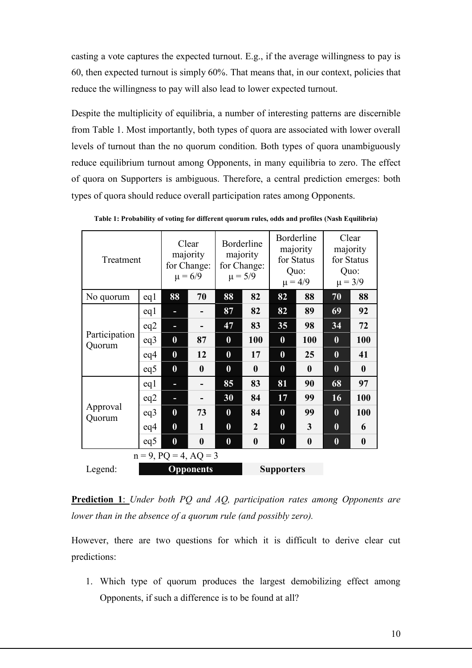casting a vote captures the expected turnout. E.g., if the average willingness to pay is 60, then expected turnout is simply 60%. That means that, in our context, policies that reduce the willingness to pay will also lead to lower expected turnout.

Despite the multiplicity of equilibria, a number of interesting patterns are discernible from Table 1. Most importantly, both types of quora are associated with lower overall levels of turnout than the no quorum condition. Both types of quora unambiguously reduce equilibrium turnout among Opponents, in many equilibria to zero. The effect of quora on Supporters is ambiguous. Therefore, a central prediction emerges: both types of quora should reduce overall participation rates among Opponents.

| Treatment               |                               | Clear<br>majority<br>for Change:<br>$\mu = 6/9$ |                  | Borderline<br>majority<br>for Change:<br>$\mu = 5/9$ |                  | Borderline<br>majority<br>for Status<br>Quo:<br>$\mu = 4/9$ |                  | Clear<br>majority<br>for Status<br>Quo:<br>$\mu = 3/9$ |                  |
|-------------------------|-------------------------------|-------------------------------------------------|------------------|------------------------------------------------------|------------------|-------------------------------------------------------------|------------------|--------------------------------------------------------|------------------|
| No quorum               | eq1                           | 88                                              | 70               | 88                                                   | 82               | 82                                                          | 88               | 70                                                     | 88               |
|                         | eq1                           |                                                 |                  | 87                                                   | 82               | 82                                                          | 89               | 69                                                     | 92               |
| Participation<br>Quorum | eq2                           |                                                 |                  | 47                                                   | 83               | 35                                                          | 98               | 34                                                     | 72               |
|                         | eq3                           | $\boldsymbol{0}$                                | 87               | $\boldsymbol{0}$                                     | 100              | $\bf{0}$                                                    | 100              | $\bf{0}$                                               | 100              |
|                         | eq4                           | $\boldsymbol{0}$                                | 12               | $\boldsymbol{0}$                                     | 17               | $\bf{0}$                                                    | 25               | $\bf{0}$                                               | 41               |
|                         | eq5                           | $\boldsymbol{0}$                                | $\boldsymbol{0}$ | $\bf{0}$                                             | $\boldsymbol{0}$ | $\bf{0}$                                                    | $\boldsymbol{0}$ | $\boldsymbol{0}$                                       | $\boldsymbol{0}$ |
|                         | eq1                           |                                                 |                  | 85                                                   | 83               | 81                                                          | 90               | 68                                                     | 97               |
|                         | eq2                           |                                                 |                  | 30                                                   | 84               | 17                                                          | 99               | 16                                                     | 100              |
| Approval<br>Quorum      | eq3                           | $\boldsymbol{0}$                                | 73               | $\boldsymbol{0}$                                     | 84               | $\bf{0}$                                                    | 99               | $\boldsymbol{0}$                                       | 100              |
|                         | eq4                           | $\boldsymbol{0}$                                | 1                | $\boldsymbol{0}$                                     | $\overline{2}$   | $\bf{0}$                                                    | 3                | $\boldsymbol{0}$                                       | 6                |
|                         | eq5                           | $\bf{0}$                                        | $\boldsymbol{0}$ | $\boldsymbol{0}$                                     | $\boldsymbol{0}$ | $\bf{0}$                                                    | $\boldsymbol{0}$ | $\bf{0}$                                               | $\bf{0}$         |
|                         | $n = 9$ , $PQ = 4$ , $AQ = 3$ |                                                 |                  |                                                      |                  |                                                             |                  |                                                        |                  |
| Legend:                 |                               | <b>Opponents</b>                                |                  |                                                      |                  | <b>Supporters</b>                                           |                  |                                                        |                  |

**Table 1: Probability of voting for different quorum rules, odds and profiles (Nash Equilibria)**

**Prediction 1**: *Under both PQ and AQ, participation rates among Opponents are lower than in the absence of a quorum rule (and possibly zero).*

However, there are two questions for which it is difficult to derive clear cut predictions:

1. Which type of quorum produces the largest demobilizing effect among Opponents, if such a difference is to be found at all?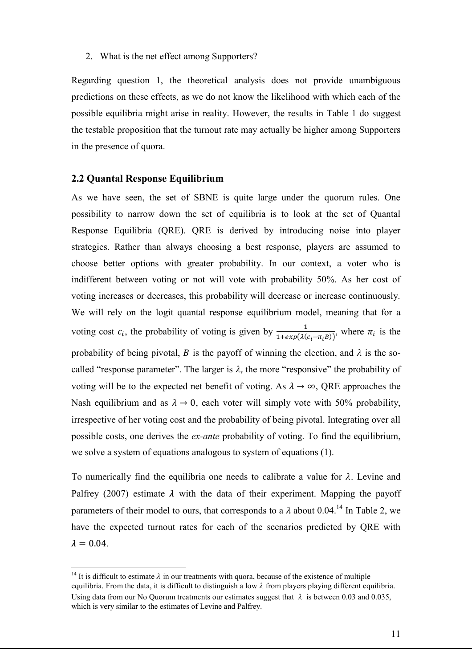## 2. What is the net effect among Supporters?

Regarding question 1, the theoretical analysis does not provide unambiguous predictions on these effects, as we do not know the likelihood with which each of the possible equilibria might arise in reality. However, the results in Table 1 do suggest the testable proposition that the turnout rate may actually be higher among Supporters in the presence of quora.

## **2.2 Quantal Response Equilibrium**

As we have seen, the set of SBNE is quite large under the quorum rules. One possibility to narrow down the set of equilibria is to look at the set of Quantal Response Equilibria (QRE). QRE is derived by introducing noise into player strategies. Rather than always choosing a best response, players are assumed to choose better options with greater probability. In our context, a voter who is indifferent between voting or not will vote with probability 50%. As her cost of voting increases or decreases, this probability will decrease or increase continuously. We will rely on the logit quantal response equilibrium model, meaning that for a voting cost  $c_i$ , the probability of voting is given by  $\frac{1}{1+exp(\lambda(c_i-\pi_i B))}$ , where  $\pi_i$  is the probability of being pivotal, B is the payoff of winning the election, and  $\lambda$  is the socalled "response parameter". The larger is  $\lambda$ , the more "responsive" the probability of voting will be to the expected net benefit of voting. As  $\lambda \to \infty$ , QRE approaches the Nash equilibrium and as  $\lambda \rightarrow 0$ , each voter will simply vote with 50% probability, irrespective of her voting cost and the probability of being pivotal. Integrating over all possible costs, one derives the *ex-ante* probability of voting. To find the equilibrium, we solve a system of equations analogous to system of equations (1).

To numerically find the equilibria one needs to calibrate a value for  $\lambda$ . Levine and Palfrey (2007) estimate  $\lambda$  with the data of their experiment. Mapping the payoff parameters of their model to ours, that corresponds to a  $\lambda$  about 0.04.<sup>14</sup> In Table 2, we have the expected turnout rates for each of the scenarios predicted by QRE with  $\lambda = 0.04$ .

l <sup>14</sup> It is difficult to estimate  $\lambda$  in our treatments with quora, because of the existence of multiple equilibria. From the data, it is difficult to distinguish a low  $\lambda$  from players playing different equilibria. Using data from our No Quorum treatments our estimates suggest that  $\lambda$  is between 0.03 and 0.035, which is very similar to the estimates of Levine and Palfrey.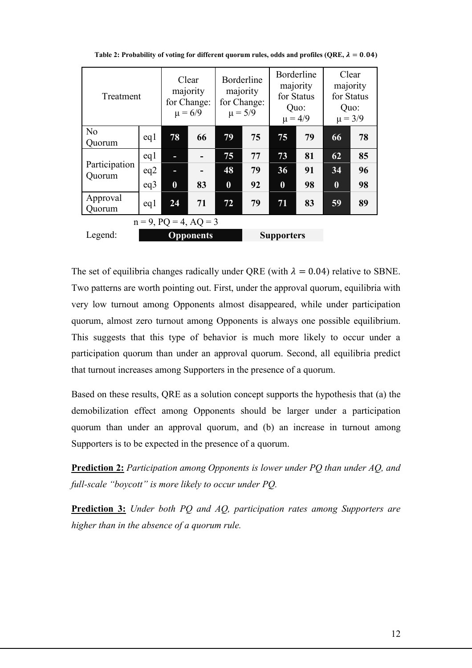| Treatment                     |                  | Clear<br>majority<br>for Change:<br>$\mu = 6/9$ |    | Borderline<br>majority<br>for Change:<br>$\mu = 5/9$ |    | Borderline<br>majority<br>for Status<br>Quo:<br>$\mu = 4/9$ |    | Clear<br>majority<br>for Status<br>Quo:<br>$\mu = 3/9$ |    |  |
|-------------------------------|------------------|-------------------------------------------------|----|------------------------------------------------------|----|-------------------------------------------------------------|----|--------------------------------------------------------|----|--|
| No<br>Quorum                  | eq1              | 78                                              | 66 | 79                                                   | 75 | 75                                                          | 79 | 66                                                     | 78 |  |
|                               | eq1              |                                                 |    | 75                                                   | 77 | 73                                                          | 81 | 62                                                     | 85 |  |
| Participation<br>Quorum       | eq2              |                                                 |    | 48                                                   | 79 | 36                                                          | 91 | 34                                                     | 96 |  |
|                               | eq3              | $\bf{0}$                                        | 83 | $\bf{0}$                                             | 92 | $\bf{0}$                                                    | 98 | $\bf{0}$                                               | 98 |  |
| Approval<br>Quorum            | eq1              | 24                                              | 71 | 72                                                   | 79 | 71                                                          | 83 | 59                                                     | 89 |  |
| $n = 9$ , $PQ = 4$ , $AQ = 3$ |                  |                                                 |    |                                                      |    |                                                             |    |                                                        |    |  |
| Legend:                       | <b>Opponents</b> |                                                 |    |                                                      |    | <b>Supporters</b>                                           |    |                                                        |    |  |

Table 2: Probability of voting for different quorum rules, odds and profiles (QRE,  $\lambda = 0.04$ )

The set of equilibria changes radically under QRE (with  $\lambda = 0.04$ ) relative to SBNE. Two patterns are worth pointing out. First, under the approval quorum, equilibria with very low turnout among Opponents almost disappeared, while under participation quorum, almost zero turnout among Opponents is always one possible equilibrium. This suggests that this type of behavior is much more likely to occur under a participation quorum than under an approval quorum. Second, all equilibria predict that turnout increases among Supporters in the presence of a quorum.

Based on these results, QRE as a solution concept supports the hypothesis that (a) the demobilization effect among Opponents should be larger under a participation quorum than under an approval quorum, and (b) an increase in turnout among Supporters is to be expected in the presence of a quorum.

**Prediction 2:** *Participation among Opponents is lower under PQ than under AQ, and full-scale "boycott" is more likely to occur under PQ.*

**Prediction 3:** *Under both PQ and AQ, participation rates among Supporters are higher than in the absence of a quorum rule.*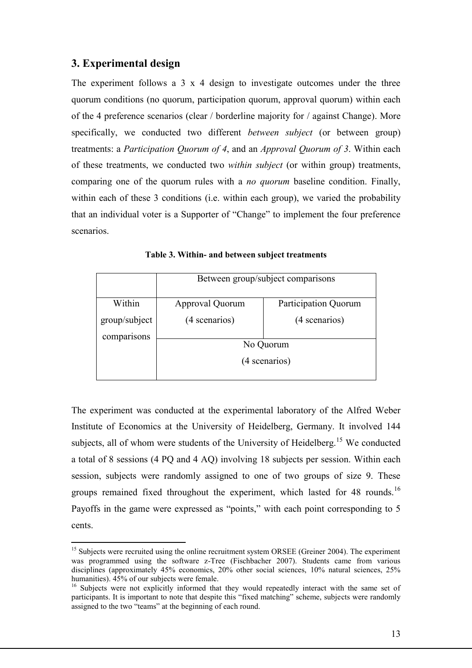## **3. Experimental design**

l

The experiment follows a 3 x 4 design to investigate outcomes under the three quorum conditions (no quorum, participation quorum, approval quorum) within each of the 4 preference scenarios (clear / borderline majority for / against Change). More specifically, we conducted two different *between subject* (or between group) treatments: a *Participation Quorum of 4*, and an *Approval Quorum of 3*. Within each of these treatments, we conducted two *within subject* (or within group) treatments, comparing one of the quorum rules with a *no quorum* baseline condition. Finally, within each of these 3 conditions (i.e. within each group), we varied the probability that an individual voter is a Supporter of "Change" to implement the four preference scenarios.

|               | Between group/subject comparisons |                             |  |  |  |  |
|---------------|-----------------------------------|-----------------------------|--|--|--|--|
| Within        | Approval Quorum                   | <b>Participation Quorum</b> |  |  |  |  |
| group/subject | (4 scenarios)                     | (4 scenarios)               |  |  |  |  |
| comparisons   |                                   | No Quorum<br>(4 scenarios)  |  |  |  |  |

**Table 3. Within- and between subject treatments**

The experiment was conducted at the experimental laboratory of the Alfred Weber Institute of Economics at the University of Heidelberg, Germany. It involved 144 subjects, all of whom were students of the University of Heidelberg.<sup>15</sup> We conducted a total of 8 sessions (4 PQ and 4 AQ) involving 18 subjects per session. Within each session, subjects were randomly assigned to one of two groups of size 9. These groups remained fixed throughout the experiment, which lasted for 48 rounds.<sup>16</sup> Payoffs in the game were expressed as "points," with each point corresponding to 5 cents.

<sup>&</sup>lt;sup>15</sup> Subjects were recruited using the online recruitment system ORSEE (Greiner 2004). The experiment was programmed using the software z-Tree (Fischbacher 2007). Students came from various disciplines (approximately 45% economics, 20% other social sciences, 10% natural sciences, 25% humanities). 45% of our subjects were female.

<sup>&</sup>lt;sup>16</sup> Subjects were not explicitly informed that they would repeatedly interact with the same set of participants. It is important to note that despite this "fixed matching" scheme, subjects were randomly assigned to the two "teams" at the beginning of each round.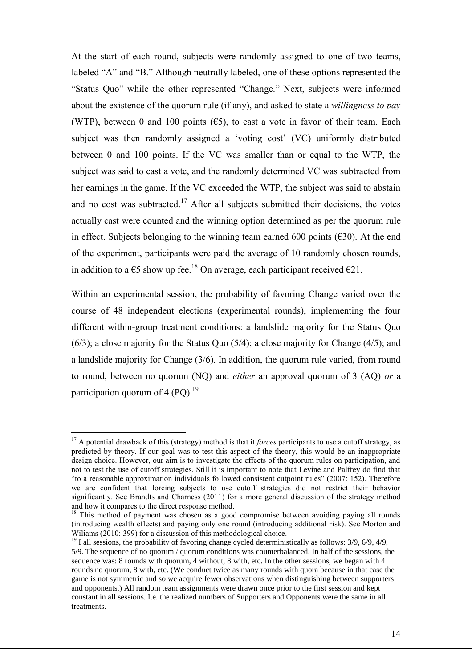At the start of each round, subjects were randomly assigned to one of two teams, labeled "A" and "B." Although neutrally labeled, one of these options represented the "Status Quo" while the other represented "Change." Next, subjects were informed about the existence of the quorum rule (if any), and asked to state a *willingness to pay* (WTP), between 0 and 100 points ( $\epsilon$ 5), to cast a vote in favor of their team. Each subject was then randomly assigned a 'voting cost' (VC) uniformly distributed between 0 and 100 points. If the VC was smaller than or equal to the WTP, the subject was said to cast a vote, and the randomly determined VC was subtracted from her earnings in the game. If the VC exceeded the WTP, the subject was said to abstain and no cost was subtracted.<sup>17</sup> After all subjects submitted their decisions, the votes actually cast were counted and the winning option determined as per the quorum rule in effect. Subjects belonging to the winning team earned 600 points ( $\epsilon$ 30). At the end of the experiment, participants were paid the average of 10 randomly chosen rounds, in addition to a  $\epsilon$ 5 show up fee.<sup>18</sup> On average, each participant received  $\epsilon$ 21.

Within an experimental session, the probability of favoring Change varied over the course of 48 independent elections (experimental rounds), implementing the four different within-group treatment conditions: a landslide majority for the Status Quo (6/3); a close majority for the Status Quo (5/4); a close majority for Change (4/5); and a landslide majority for Change (3/6). In addition, the quorum rule varied, from round to round, between no quorum (NQ) and *either* an approval quorum of 3 (AQ) *or* a participation quorum of  $4$  (PQ).<sup>19</sup>

l

<sup>&</sup>lt;sup>17</sup> A potential drawback of this (strategy) method is that it *forces* participants to use a cutoff strategy, as predicted by theory. If our goal was to test this aspect of the theory, this would be an inappropriate design choice. However, our aim is to investigate the effects of the quorum rules on participation, and not to test the use of cutoff strategies. Still it is important to note that Levine and Palfrey do find that "to a reasonable approximation individuals followed consistent cutpoint rules" (2007: 152). Therefore we are confident that forcing subjects to use cutoff strategies did not restrict their behavior significantly. See Brandts and Charness (2011) for a more general discussion of the strategy method and how it compares to the direct response method.

<sup>&</sup>lt;sup>18</sup> This method of payment was chosen as a good compromise between avoiding paying all rounds (introducing wealth effects) and paying only one round (introducing additional risk). See Morton and Wiliams (2010: 399) for a discussion of this methodological choice.

 $19$  I all sessions, the probability of favoring change cycled deterministically as follows:  $3/9$ ,  $6/9$ ,  $4/9$ , 5/9. The sequence of no quorum / quorum conditions was counterbalanced. In half of the sessions, the sequence was: 8 rounds with quorum, 4 without, 8 with, etc. In the other sessions, we began with 4 rounds no quorum, 8 with, etc. (We conduct twice as many rounds with quora because in that case the game is not symmetric and so we acquire fewer observations when distinguishing between supporters and opponents.) All random team assignments were drawn once prior to the first session and kept constant in all sessions. I.e. the realized numbers of Supporters and Opponents were the same in all treatments.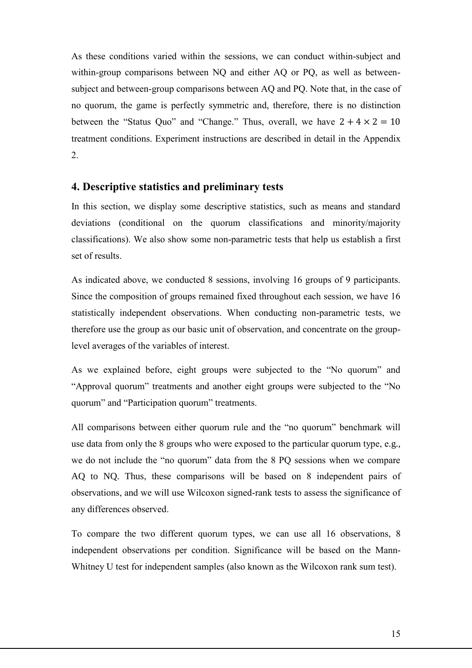As these conditions varied within the sessions, we can conduct within-subject and within-group comparisons between NQ and either AQ or PQ, as well as betweensubject and between-group comparisons between AQ and PQ. Note that, in the case of no quorum, the game is perfectly symmetric and, therefore, there is no distinction between the "Status Quo" and "Change." Thus, overall, we have  $2 + 4 \times 2 = 10$ treatment conditions. Experiment instructions are described in detail in the Appendix 2.

## **4. Descriptive statistics and preliminary tests**

In this section, we display some descriptive statistics, such as means and standard deviations (conditional on the quorum classifications and minority/majority classifications). We also show some non-parametric tests that help us establish a first set of results.

As indicated above, we conducted 8 sessions, involving 16 groups of 9 participants. Since the composition of groups remained fixed throughout each session, we have 16 statistically independent observations. When conducting non-parametric tests, we therefore use the group as our basic unit of observation, and concentrate on the grouplevel averages of the variables of interest.

As we explained before, eight groups were subjected to the "No quorum" and "Approval quorum" treatments and another eight groups were subjected to the "No quorum" and "Participation quorum" treatments.

All comparisons between either quorum rule and the "no quorum" benchmark will use data from only the 8 groups who were exposed to the particular quorum type, e.g., we do not include the "no quorum" data from the 8 PQ sessions when we compare AQ to NQ. Thus, these comparisons will be based on 8 independent pairs of observations, and we will use Wilcoxon signed-rank tests to assess the significance of any differences observed.

To compare the two different quorum types, we can use all 16 observations, 8 independent observations per condition. Significance will be based on the Mann-Whitney U test for independent samples (also known as the Wilcoxon rank sum test).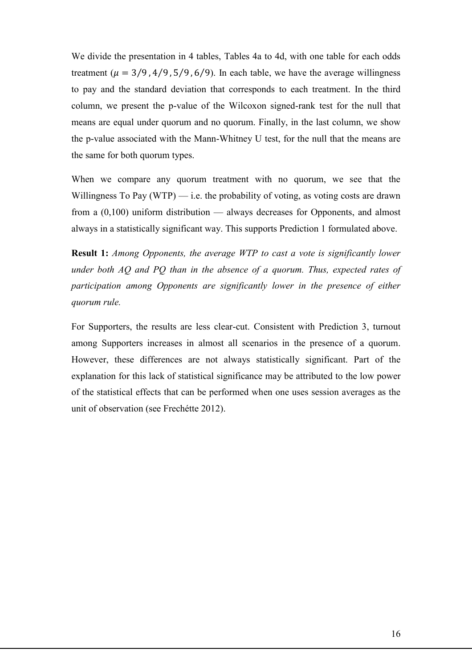We divide the presentation in 4 tables, Tables 4a to 4d, with one table for each odds treatment ( $\mu = 3/9$ , 4/9, 5/9, 6/9). In each table, we have the average willingness to pay and the standard deviation that corresponds to each treatment. In the third column, we present the p-value of the Wilcoxon signed-rank test for the null that means are equal under quorum and no quorum. Finally, in the last column, we show the p-value associated with the Mann-Whitney U test, for the null that the means are the same for both quorum types.

When we compare any quorum treatment with no quorum, we see that the Willingness To Pay (WTP)  $-$  i.e. the probability of voting, as voting costs are drawn from a (0,100) uniform distribution — always decreases for Opponents, and almost always in a statistically significant way. This supports Prediction 1 formulated above.

**Result 1:** *Among Opponents, the average WTP to cast a vote is significantly lower under both AQ and PQ than in the absence of a quorum. Thus, expected rates of participation among Opponents are significantly lower in the presence of either quorum rule.*

For Supporters, the results are less clear-cut. Consistent with Prediction 3, turnout among Supporters increases in almost all scenarios in the presence of a quorum. However, these differences are not always statistically significant. Part of the explanation for this lack of statistical significance may be attributed to the low power of the statistical effects that can be performed when one uses session averages as the unit of observation (see Frechétte 2012).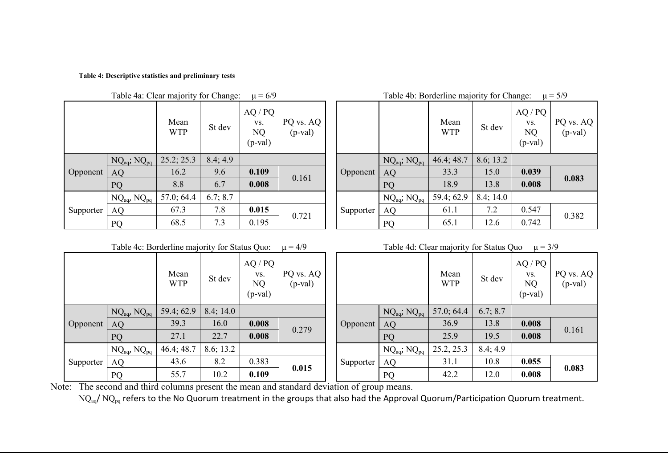**Table 4: Descriptive statistics and preliminary tests**

|           | Table 4a: Clear majority for Change:<br>$\mu = 6/9$ |                    |          |                                    |                          |          | Table 4b: Borderline majority for Change: |                       |                    |           |                                   |
|-----------|-----------------------------------------------------|--------------------|----------|------------------------------------|--------------------------|----------|-------------------------------------------|-----------------------|--------------------|-----------|-----------------------------------|
|           |                                                     | Mean<br><b>WTP</b> | St dev   | AQ / PQ<br>VS.<br>NQ<br>$(p$ -val) | PQ vs. AQ<br>$(p-value)$ |          |                                           |                       | Mean<br><b>WTP</b> | St dev    | AQ / P<br>VS.<br>NQ<br>$(p-value$ |
|           | $NQ_{aq}$ ; $NQ_{pq}$                               | 25.2; 25.3         | 8.4; 4.9 |                                    |                          |          |                                           | $NQ_{aq}$ ; $NQ_{pq}$ | 46.4; 48.7         | 8.6; 13.2 |                                   |
| Opponent  | <b>AQ</b>                                           | 16.2               | 9.6      | 0.109                              |                          | Opponent | <b>AQ</b>                                 | 33.3                  | 15.0               | 0.039     |                                   |
|           | PQ                                                  | 8.8                | 6.7      | 0.008                              | 0.161                    |          |                                           | PQ                    | 18.9               | 13.8      | 0.008                             |
|           | $NQ_{aq}$ , $NQ_{pq}$                               | 57.0; 64.4         | 6.7; 8.7 |                                    |                          |          |                                           | $NQ_{aq}$ ; $NQ_{pq}$ | 59.4; 62.9         | 8.4; 14.0 |                                   |
| Supporter | <b>AQ</b>                                           | 67.3               | 7.8      | 0.015                              | 0.721                    |          | Supporter                                 | <b>AQ</b>             | 61.1               | 7.2       | 0.547                             |
|           | PQ                                                  | 68.5               | 7.3      | 0.195                              |                          |          |                                           | PQ                    | 65.1               | 12.6      | 0.742                             |

| Table 4b: Borderline majority for Change:<br>$\mu = 5/9$ |  |           |                       |                    |           |                                              |                          |  |
|----------------------------------------------------------|--|-----------|-----------------------|--------------------|-----------|----------------------------------------------|--------------------------|--|
| $\chi$ vs. AQ<br>(p-val)                                 |  |           |                       | Mean<br><b>WTP</b> | St dev    | AQ / PQ<br>VS.<br><b>NQ</b><br>$(p$ -val $)$ | PQ vs. AQ<br>$(p-value)$ |  |
|                                                          |  |           | $NQ_{aq}$ ; $NQ_{pq}$ | 46.4; 48.7         | 8.6; 13.2 |                                              |                          |  |
| 0.161                                                    |  | Opponent  | <b>AQ</b>             | 33.3               | 15.0      | 0.039                                        |                          |  |
|                                                          |  |           | PO                    | 18.9               | 13.8      | 0.008                                        | 0.083                    |  |
|                                                          |  |           | $NQ_{aq}$ ; $NQ_{pq}$ | 59.4; 62.9         | 8.4; 14.0 |                                              |                          |  |
|                                                          |  | Supporter | <b>AQ</b>             | 61.1               | 7.2       | 0.547                                        |                          |  |
| 0.721                                                    |  | PQ        | 65.1                  | 12.6               | 0.742     | 0.382                                        |                          |  |

|           | Lable 4c. Borgerline majority for Status Quo.<br>$\mu - 4/9$ |                    |           |                                    |                            | I able 4d. Clear majority for Status Quo |          |                       |                    |          | $\mu$                         |      |      |
|-----------|--------------------------------------------------------------|--------------------|-----------|------------------------------------|----------------------------|------------------------------------------|----------|-----------------------|--------------------|----------|-------------------------------|------|------|
|           |                                                              | Mean<br><b>WTP</b> | St dev    | AQ / PQ<br>VS.<br>NQ<br>$(p$ -val) | PQ vs. AQ<br>$(p$ -val $)$ |                                          |          |                       | Mean<br><b>WTP</b> | St dev   | AQ / P<br>VS.<br>NQ<br>(p-val |      |      |
|           | $NQ_{aq}$ , $NQ_{pq}$                                        | 59.4; 62.9         | 8.4; 14.0 |                                    |                            |                                          |          | $NQ_{aq}$ ; $NQ_{pq}$ | 57.0; 64.4         | 6.7; 8.7 |                               |      |      |
| Opponent  | AQ                                                           | 39.3               | 16.0      | 0.008                              | 0.279                      |                                          | Opponent | <b>AQ</b>             | 36.9               | 13.8     | 0.008                         |      |      |
|           | PQ                                                           | 27.1               | 22.7      | 0.008                              |                            |                                          |          | PQ                    | 25.9               | 19.5     | 0.008                         |      |      |
|           | $NQ_{aq}$ , $NQ_{pq}$                                        | 46.4; 48.7         | 8.6; 13.2 |                                    |                            |                                          |          | $NQ_{aq}$ ; $NQ_{pq}$ | 25.2, 25.3         | 8.4; 4.9 |                               |      |      |
| Supporter | <b>AQ</b>                                                    | 43.6               | 8.2       | 0.383                              | 0.015                      | Supporter                                | AQ       | 31.1                  | 10.8               | 0.055    |                               |      |      |
|           | PQ                                                           | 55.7               | 10.2      | 0.109                              |                            |                                          |          |                       |                    |          | PQ.                           | 42.2 | 12.0 |

| Table 4c: Borderline majority for Status Quo: | $\mu = 4/9$ | Table 4d: Clear majority for Status Quo $\mu = 3/9$ |  |
|-----------------------------------------------|-------------|-----------------------------------------------------|--|
|                                               |             |                                                     |  |

| $\chi$ vs. AQ<br>(p-val) |           |                       | Mean<br><b>WTP</b> | St dev   | $\rm AQ$ / $\rm PQ$<br>VS.<br>NQ<br>$(p-value)$ | PQ vs. AQ<br>$(p-value)$ |
|--------------------------|-----------|-----------------------|--------------------|----------|-------------------------------------------------|--------------------------|
|                          |           | $NQ_{aq}$ ; $NQ_{pq}$ | 57.0; 64.4         | 6.7; 8.7 |                                                 |                          |
| 0.279                    | Opponent  | <b>AQ</b>             | 36.9               | 13.8     | 0.008                                           | 0.161                    |
|                          |           | PQ                    | 25.9               | 19.5     | 0.008                                           |                          |
|                          |           | $NQ_{aq}$ ; $NQ_{pq}$ | 25.2, 25.3         | 8.4; 4.9 |                                                 |                          |
|                          | Supporter | <b>AQ</b>             | 31.1               | 10.8     | 0.055                                           |                          |
| 0.015                    |           | PO                    | 42.2               | 12.0     | 0.008                                           | 0.083                    |

Note: The second and third columns present the mean and standard deviation of group means.

NQ<sub>aq</sub>/ NQ<sub>pq</sub> refers to the No Quorum treatment in the groups that also had the Approval Quorum/Participation Quorum treatment.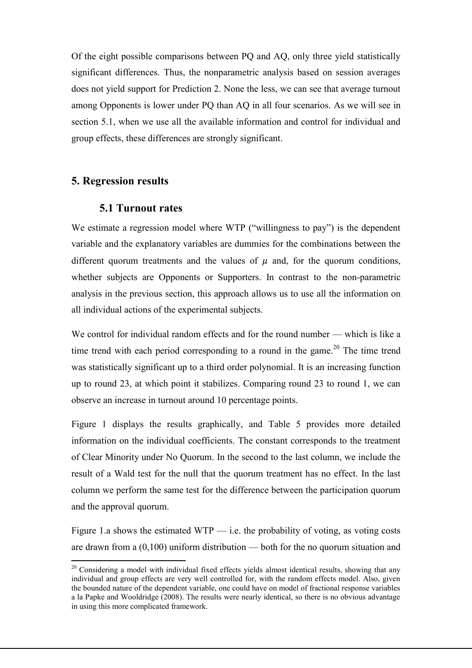Of the eight possible comparisons between PQ and AQ, only three yield statistically significant differences. Thus, the nonparametric analysis based on session averages does not yield support for Prediction 2. None the less, we can see that average turnout among Opponents is lower under PQ than AQ in all four scenarios. As we will see in section 5.1, when we use all the available information and control for individual and group effects, these differences are strongly significant.

## **5. Regression results**

 $\overline{a}$ 

## **5.1 Turnout rates**

We estimate a regression model where WTP ("willingness to pay") is the dependent variable and the explanatory variables are dummies for the combinations between the different quorum treatments and the values of  $\mu$  and, for the quorum conditions, whether subjects are Opponents or Supporters. In contrast to the non-parametric analysis in the previous section, this approach allows us to use all the information on all individual actions of the experimental subjects.

We control for individual random effects and for the round number — which is like a time trend with each period corresponding to a round in the game.<sup>20</sup> The time trend was statistically significant up to a third order polynomial. It is an increasing function up to round 23, at which point it stabilizes. Comparing round 23 to round 1, we can observe an increase in turnout around 10 percentage points.

Figure 1 displays the results graphically, and Table 5 provides more detailed information on the individual coefficients. The constant corresponds to the treatment of Clear Minority under No Quorum. In the second to the last column, we include the result of a Wald test for the null that the quorum treatment has no effect. In the last column we perform the same test for the difference between the participation quorum and the approval quorum.

Figure 1.a shows the estimated WTP  $-$  i.e. the probability of voting, as voting costs are drawn from a (0,100) uniform distribution — both for the no quorum situation and

<sup>&</sup>lt;sup>20</sup> Considering a model with individual fixed effects yields almost identical results, showing that any individual and group effects are very well controlled for, with the random effects model. Also, given the bounded nature of the dependent variable, one could have on model of fractional response variables a la Papke and Wooldridge (2008). The results were nearly identical, so there is no obvious advantage in using this more complicated framework.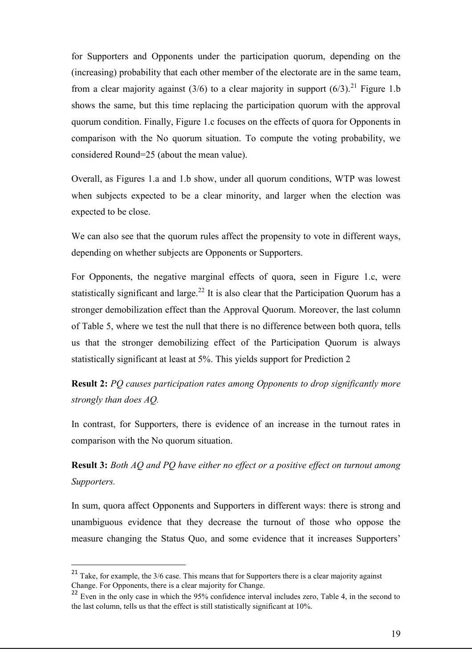for Supporters and Opponents under the participation quorum, depending on the (increasing) probability that each other member of the electorate are in the same team, from a clear majority against  $(3/6)$  to a clear majority in support  $(6/3)$ .<sup>21</sup> Figure 1.b shows the same, but this time replacing the participation quorum with the approval quorum condition. Finally, Figure 1.c focuses on the effects of quora for Opponents in comparison with the No quorum situation. To compute the voting probability, we considered Round=25 (about the mean value).

Overall, as Figures 1.a and 1.b show, under all quorum conditions, WTP was lowest when subjects expected to be a clear minority, and larger when the election was expected to be close.

We can also see that the quorum rules affect the propensity to vote in different ways, depending on whether subjects are Opponents or Supporters.

For Opponents, the negative marginal effects of quora, seen in Figure 1.c, were statistically significant and large.<sup>22</sup> It is also clear that the Participation Quorum has a stronger demobilization effect than the Approval Quorum. Moreover, the last column of Table 5, where we test the null that there is no difference between both quora, tells us that the stronger demobilizing effect of the Participation Quorum is always statistically significant at least at 5%. This yields support for Prediction 2

**Result 2:** *PQ causes participation rates among Opponents to drop significantly more strongly than does AQ.*

In contrast, for Supporters, there is evidence of an increase in the turnout rates in comparison with the No quorum situation.

**Result 3:** *Both AQ and PQ have either no effect or a positive effect on turnout among Supporters.*

In sum, quora affect Opponents and Supporters in different ways: there is strong and unambiguous evidence that they decrease the turnout of those who oppose the measure changing the Status Quo, and some evidence that it increases Supporters'

 $\overline{a}$ 

<sup>&</sup>lt;sup>21</sup> Take, for example, the  $3/6$  case. This means that for Supporters there is a clear majority against Change. For Opponents, there is a clear majority for Change.

<sup>&</sup>lt;sup>22</sup> Even in the only case in which the 95% confidence interval includes zero, Table 4, in the second to the last column, tells us that the effect is still statistically significant at 10%.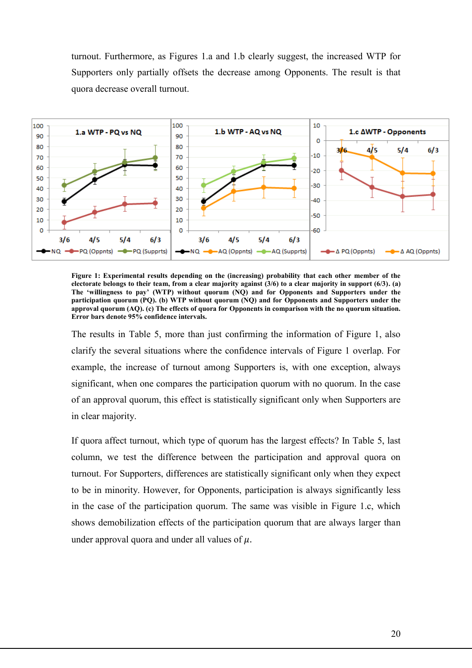turnout. Furthermore, as Figures 1.a and 1.b clearly suggest, the increased WTP for Supporters only partially offsets the decrease among Opponents. The result is that quora decrease overall turnout.



**Figure 1: Experimental results depending on the (increasing) probability that each other member of the electorate belongs to their team, from a clear majority against (3/6) to a clear majority in support (6/3). (a) The 'willingness to pay' (WTP) without quorum (NQ) and for Opponents and Supporters under the participation quorum (PQ). (b) WTP without quorum (NQ) and for Opponents and Supporters under the approval quorum (AQ). (c) The effects of quora for Opponents in comparison with the no quorum situation. Error bars denote 95% confidence intervals.**

The results in Table 5, more than just confirming the information of Figure 1, also clarify the several situations where the confidence intervals of Figure 1 overlap. For example, the increase of turnout among Supporters is, with one exception, always significant, when one compares the participation quorum with no quorum. In the case of an approval quorum, this effect is statistically significant only when Supporters are in clear majority.

If quora affect turnout, which type of quorum has the largest effects? In Table 5, last column, we test the difference between the participation and approval quora on turnout. For Supporters, differences are statistically significant only when they expect to be in minority. However, for Opponents, participation is always significantly less in the case of the participation quorum. The same was visible in Figure 1.c, which shows demobilization effects of the participation quorum that are always larger than under approval quora and under all values of  $\mu$ .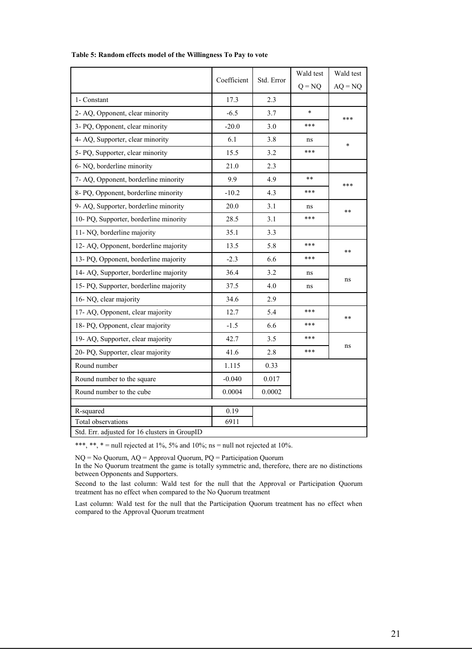|                                               |             |            | Wald test | Wald test |  |
|-----------------------------------------------|-------------|------------|-----------|-----------|--|
|                                               | Coefficient | Std. Error | $Q = NO$  | $AQ = NQ$ |  |
| 1- Constant                                   | 17.3        | 2.3        |           |           |  |
| 2- AQ, Opponent, clear minority               | $-6.5$      | 3.7        | $\ast$    | ***       |  |
| 3- PQ, Opponent, clear minority               | $-20.0$     | 3.0        | ***       |           |  |
| 4- AQ, Supporter, clear minority              | 6.1         | 3.8        | ns        | $\ast$    |  |
| 5- PQ, Supporter, clear minority              | 15.5        | 3.2        | ***       |           |  |
| 6- NQ, borderline minority                    | 21.0        | 2.3        |           |           |  |
| 7- AQ, Opponent, borderline minority          | 9.9         | 4.9        | **        | ***       |  |
| 8- PQ, Opponent, borderline minority          | $-10.2$     | 4.3        | ***       |           |  |
| 9- AQ, Supporter, borderline minority         | 20.0        | 3.1        | ns        | **        |  |
| 10- PQ, Supporter, borderline minority        | 28.5        | 3.1        | ***       |           |  |
| 11- NQ, borderline majority                   | 35.1        | 3.3        |           |           |  |
| 12- AQ, Opponent, borderline majority         | 13.5        | 5.8        | ***       |           |  |
| 13- PQ, Opponent, borderline majority         | $-2.3$      | 6.6        | ***       | **        |  |
| 14- AQ, Supporter, borderline majority        | 36.4        | 3.2        | ns        |           |  |
| 15- PQ, Supporter, borderline majority        | 37.5        | 4.0        | ns        | ns        |  |
| 16- NQ, clear majority                        | 34.6        | 2.9        |           |           |  |
| 17- AQ, Opponent, clear majority              | 12.7        | 5.4        | ***       | **        |  |
| 18- PQ, Opponent, clear majority              | $-1.5$      | 6.6        | ***       |           |  |
| 19- AQ, Supporter, clear majority             | 42.7        | 3.5        | ***       |           |  |
| 20- PQ, Supporter, clear majority             | 41.6        | 2.8        | ***       | ns        |  |
| Round number                                  | 1.115       | 0.33       |           |           |  |
| Round number to the square                    | $-0.040$    | 0.017      |           |           |  |
| Round number to the cube                      | 0.0004      | 0.0002     |           |           |  |
| R-squared                                     | 0.19        |            |           |           |  |
| Total observations                            | 6911        |            |           |           |  |
| Std. Err. adjusted for 16 clusters in GroupID |             |            |           |           |  |

#### **Table 5: Random effects model of the Willingness To Pay to vote**

\*\*\*, \*\*, \* = null rejected at 1%, 5% and 10%; ns = null not rejected at 10%.

NQ = No Quorum, AQ = Approval Quorum, PQ = Participation Quorum

In the No Quorum treatment the game is totally symmetric and, therefore, there are no distinctions between Opponents and Supporters.

Second to the last column: Wald test for the null that the Approval or Participation Quorum treatment has no effect when compared to the No Quorum treatment

Last column: Wald test for the null that the Participation Quorum treatment has no effect when compared to the Approval Quorum treatment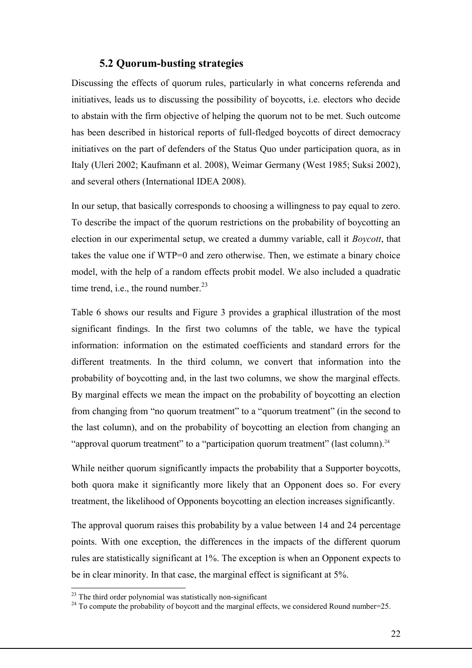## **5.2 Quorum-busting strategies**

Discussing the effects of quorum rules, particularly in what concerns referenda and initiatives, leads us to discussing the possibility of boycotts, i.e. electors who decide to abstain with the firm objective of helping the quorum not to be met. Such outcome has been described in historical reports of full-fledged boycotts of direct democracy initiatives on the part of defenders of the Status Quo under participation quora, as in Italy (Uleri 2002; Kaufmann et al. 2008), Weimar Germany (West 1985; Suksi 2002), and several others (International IDEA 2008).

In our setup, that basically corresponds to choosing a willingness to pay equal to zero. To describe the impact of the quorum restrictions on the probability of boycotting an election in our experimental setup, we created a dummy variable, call it *Boycott*, that takes the value one if WTP=0 and zero otherwise. Then, we estimate a binary choice model, with the help of a random effects probit model. We also included a quadratic time trend, i.e., the round number. $^{23}$ 

Table 6 shows our results and Figure 3 provides a graphical illustration of the most significant findings. In the first two columns of the table, we have the typical information: information on the estimated coefficients and standard errors for the different treatments. In the third column, we convert that information into the probability of boycotting and, in the last two columns, we show the marginal effects. By marginal effects we mean the impact on the probability of boycotting an election from changing from "no quorum treatment" to a "quorum treatment" (in the second to the last column), and on the probability of boycotting an election from changing an "approval quorum treatment" to a "participation quorum treatment" (last column).<sup>24</sup>

While neither quorum significantly impacts the probability that a Supporter boycotts, both quora make it significantly more likely that an Opponent does so. For every treatment, the likelihood of Opponents boycotting an election increases significantly.

The approval quorum raises this probability by a value between 14 and 24 percentage points. With one exception, the differences in the impacts of the different quorum rules are statistically significant at 1%. The exception is when an Opponent expects to be in clear minority. In that case, the marginal effect is significant at 5%.

 $\overline{a}$ 

 $2<sup>23</sup>$  The third order polynomial was statistically non-significant

 $24$  To compute the probability of boycott and the marginal effects, we considered Round number=25.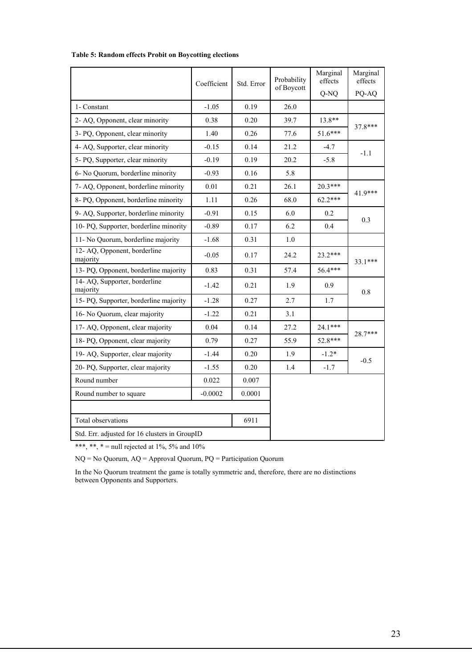|                                               | Coefficient | Std. Error | Probability | Marginal<br>effects | Marginal<br>effects |
|-----------------------------------------------|-------------|------------|-------------|---------------------|---------------------|
|                                               |             |            | of Boycott  | O-NO                | PQ-AQ               |
| 1- Constant                                   | $-1.05$     | 0.19       | 26.0        |                     |                     |
| 2- AQ, Opponent, clear minority               | 0.38        | 0.20       | 39.7        | 13.8**              | 37.8***             |
| 3- PQ, Opponent, clear minority               | 1.40        | 0.26       | 77.6        | 51.6***             |                     |
| 4- AQ, Supporter, clear minority              | $-0.15$     | 0.14       | 21.2        | $-4.7$              | $-1.1$              |
| 5- PQ, Supporter, clear minority              | $-0.19$     | 0.19       | 20.2        | $-5.8$              |                     |
| 6- No Quorum, borderline minority             | $-0.93$     | 0.16       | 5.8         |                     |                     |
| 7- AQ, Opponent, borderline minority          | 0.01        | 0.21       | 26.1        | $20.3***$           | 41.9***             |
| 8- PQ, Opponent, borderline minority          | 1.11        | 0.26       | 68.0        | 62.2***             |                     |
| 9- AQ, Supporter, borderline minority         | $-0.91$     | 0.15       | 6.0         | 0.2                 | 0.3                 |
| 10- PQ, Supporter, borderline minority        | $-0.89$     | 0.17       | 6.2         | 0.4                 |                     |
| 11- No Quorum, borderline majority            | $-1.68$     | 0.31       | 1.0         |                     |                     |
| 12- AQ, Opponent, borderline<br>majority      | $-0.05$     | 0.17       | 24.2        | $23.2***$           | 33.1***             |
| 13- PQ, Opponent, borderline majority         | 0.83        | 0.31       | 57.4        | 56.4***             |                     |
| 14- AQ, Supporter, borderline<br>majority     | $-1.42$     | 0.21       | 1.9         | 0.9                 | 0.8                 |
| 15- PQ, Supporter, borderline majority        | $-1.28$     | 0.27       | 2.7         | 1.7                 |                     |
| 16- No Quorum, clear majority                 | $-1.22$     | 0.21       | 3.1         |                     |                     |
| 17- AQ, Opponent, clear majority              | 0.04        | 0.14       | 27.2        | 24.1***             | 28.7***             |
| 18- PQ, Opponent, clear majority              | 0.79        | 0.27       | 55.9        | 52.8***             |                     |
| 19- AQ, Supporter, clear majority             | $-1.44$     | 0.20       | 1.9         | $-1.2*$             | $-0.5$              |
| 20- PQ, Supporter, clear majority             | $-1.55$     | 0.20       | 1.4         | $-1.7$              |                     |
| Round number                                  | 0.022       | 0.007      |             |                     |                     |
| Round number to square                        | $-0.0002$   | 0.0001     |             |                     |                     |
| Total observations                            |             |            |             |                     |                     |
| Std. Err. adjusted for 16 clusters in GroupID |             |            |             |                     |                     |

#### **Table 5: Random effects Probit on Boycotting elections**

\*\*\*, \*\*, \* = null rejected at 1%, 5% and 10%

NQ = No Quorum, AQ = Approval Quorum, PQ = Participation Quorum

In the No Quorum treatment the game is totally symmetric and, therefore, there are no distinctions between Opponents and Supporters.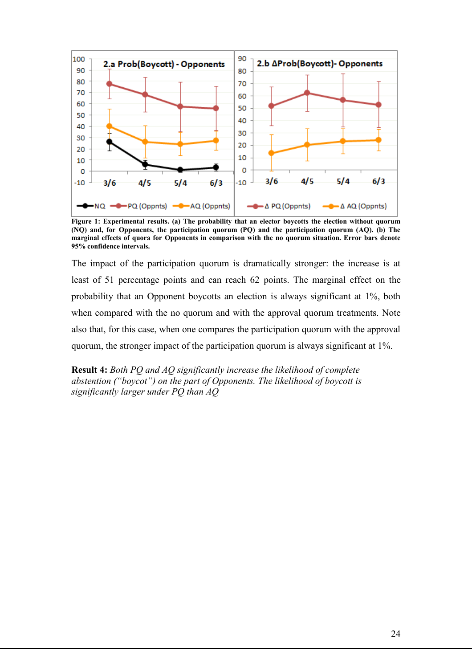

**Figure 1: Experimental results. (a) The probability that an elector boycotts the election without quorum (NQ) and, for Opponents, the participation quorum (PQ) and the participation quorum (AQ). (b) The marginal effects of quora for Opponents in comparison with the no quorum situation. Error bars denote 95% confidence intervals.**

The impact of the participation quorum is dramatically stronger: the increase is at least of 51 percentage points and can reach 62 points. The marginal effect on the probability that an Opponent boycotts an election is always significant at 1%, both when compared with the no quorum and with the approval quorum treatments. Note also that, for this case, when one compares the participation quorum with the approval quorum, the stronger impact of the participation quorum is always significant at 1%.

**Result 4:** *Both PQ and AQ significantly increase the likelihood of complete abstention ("boycot") on the part of Opponents. The likelihood of boycott is significantly larger under PQ than AQ*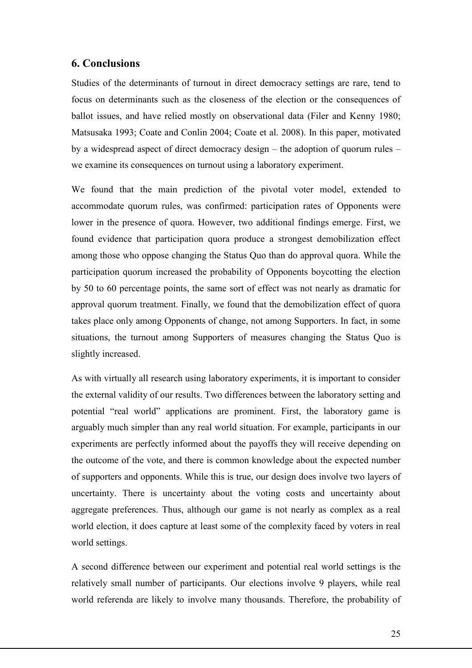## **6. Conclusions**

Studies of the determinants of turnout in direct democracy settings are rare, tend to focus on determinants such as the closeness of the election or the consequences of ballot issues, and have relied mostly on observational data (Filer and Kenny 1980; Matsusaka 1993; Coate and Conlin 2004; Coate et al. 2008). In this paper, motivated by a widespread aspect of direct democracy design – the adoption of quorum rules – we examine its consequences on turnout using a laboratory experiment.

We found that the main prediction of the pivotal voter model, extended to accommodate quorum rules, was confirmed: participation rates of Opponents were lower in the presence of quora. However, two additional findings emerge. First, we found evidence that participation quora produce a strongest demobilization effect among those who oppose changing the Status Quo than do approval quora. While the participation quorum increased the probability of Opponents boycotting the election by 50 to 60 percentage points, the same sort of effect was not nearly as dramatic for approval quorum treatment. Finally, we found that the demobilization effect of quora takes place only among Opponents of change, not among Supporters. In fact, in some situations, the turnout among Supporters of measures changing the Status Quo is slightly increased.

As with virtually all research using laboratory experiments, it is important to consider the external validity of our results. Two differences between the laboratory setting and potential "real world" applications are prominent. First, the laboratory game is arguably much simpler than any real world situation. For example, participants in our experiments are perfectly informed about the payoffs they will receive depending on the outcome of the vote, and there is common knowledge about the expected number of supporters and opponents. While this is true, our design does involve two layers of uncertainty. There is uncertainty about the voting costs and uncertainty about aggregate preferences. Thus, although our game is not nearly as complex as a real world election, it does capture at least some of the complexity faced by voters in real world settings.

A second difference between our experiment and potential real world settings is the relatively small number of participants. Our elections involve 9 players, while real world referenda are likely to involve many thousands. Therefore, the probability of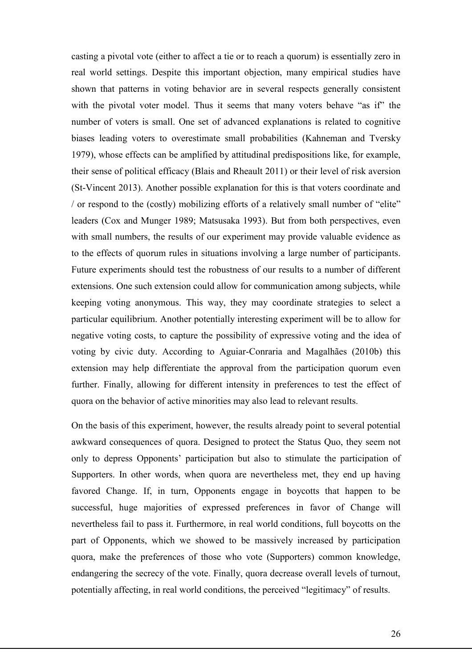casting a pivotal vote (either to affect a tie or to reach a quorum) is essentially zero in real world settings. Despite this important objection, many empirical studies have shown that patterns in voting behavior are in several respects generally consistent with the pivotal voter model. Thus it seems that many voters behave "as if" the number of voters is small. One set of advanced explanations is related to cognitive biases leading voters to overestimate small probabilities (Kahneman and Tversky 1979), whose effects can be amplified by attitudinal predispositions like, for example, their sense of political efficacy (Blais and Rheault 2011) or their level of risk aversion (St-Vincent 2013). Another possible explanation for this is that voters coordinate and / or respond to the (costly) mobilizing efforts of a relatively small number of "elite" leaders (Cox and Munger 1989; Matsusaka 1993). But from both perspectives, even with small numbers, the results of our experiment may provide valuable evidence as to the effects of quorum rules in situations involving a large number of participants. Future experiments should test the robustness of our results to a number of different extensions. One such extension could allow for communication among subjects, while keeping voting anonymous. This way, they may coordinate strategies to select a particular equilibrium. Another potentially interesting experiment will be to allow for negative voting costs, to capture the possibility of expressive voting and the idea of voting by civic duty. According to Aguiar-Conraria and Magalhães (2010b) this extension may help differentiate the approval from the participation quorum even further. Finally, allowing for different intensity in preferences to test the effect of quora on the behavior of active minorities may also lead to relevant results.

On the basis of this experiment, however, the results already point to several potential awkward consequences of quora. Designed to protect the Status Quo, they seem not only to depress Opponents' participation but also to stimulate the participation of Supporters. In other words, when quora are nevertheless met, they end up having favored Change. If, in turn, Opponents engage in boycotts that happen to be successful, huge majorities of expressed preferences in favor of Change will nevertheless fail to pass it. Furthermore, in real world conditions, full boycotts on the part of Opponents, which we showed to be massively increased by participation quora, make the preferences of those who vote (Supporters) common knowledge, endangering the secrecy of the vote. Finally, quora decrease overall levels of turnout, potentially affecting, in real world conditions, the perceived "legitimacy" of results.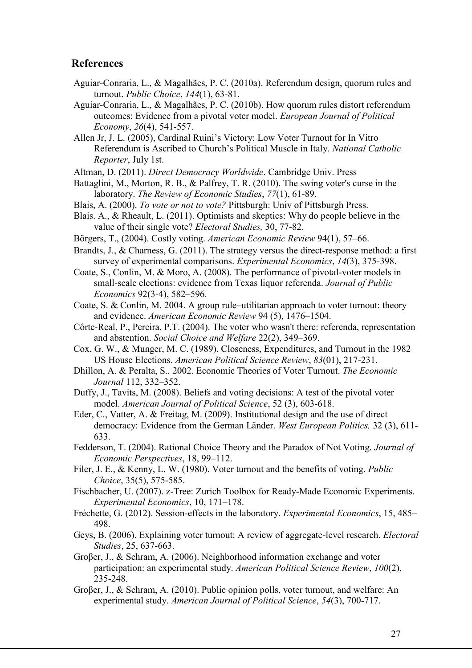## **References**

- Aguiar-Conraria, L., & Magalhães, P. C. (2010a). Referendum design, quorum rules and turnout. *Public Choice*, *144*(1), 63-81.
- Aguiar-Conraria, L., & Magalhães, P. C. (2010b). How quorum rules distort referendum outcomes: Evidence from a pivotal voter model. *European Journal of Political Economy*, *26*(4), 541-557.
- Allen Jr, J. L. (2005), Cardinal Ruini's Victory: Low Voter Turnout for In Vitro Referendum is Ascribed to Church's Political Muscle in Italy. *National Catholic Reporter*, July 1st.
- Altman, D. (2011). *Direct Democracy Worldwide*. Cambridge Univ. Press
- Battaglini, M., Morton, R. B., & Palfrey, T. R. (2010). The swing voter's curse in the laboratory. *The Review of Economic Studies*, *77*(1), 61-89.
- Blais, A. (2000). *To vote or not to vote?* Pittsburgh: Univ of Pittsburgh Press.
- Blais. A., & Rheault, L. (2011). Optimists and skeptics: Why do people believe in the value of their single vote? *Electoral Studies,* 30, 77-82.
- Börgers, T., (2004). Costly voting. *American Economic Review* 94(1), 57–66.
- Brandts, J., & Charness, G. (2011). The strategy versus the direct-response method: a first survey of experimental comparisons. *Experimental Economics*, *14*(3), 375-398.
- Coate, S., Conlin, M. & Moro, A. (2008). The performance of pivotal-voter models in small-scale elections: evidence from Texas liquor referenda. *Journal of Public Economics* 92(3-4), 582–596.
- Coate, S. & Conlin, M. 2004. A group rule–utilitarian approach to voter turnout: theory and evidence. *American Economic Review* 94 (5), 1476–1504.
- Côrte-Real, P., Pereira, P.T. (2004). The voter who wasn't there: referenda, representation and abstention. *Social Choice and Welfare* 22(2), 349–369.
- Cox, G. W., & Munger, M. C. (1989). Closeness, Expenditures, and Turnout in the 1982 US House Elections. *American Political Science Review*, *83*(01), 217-231.
- Dhillon, A. & Peralta, S.. 2002. Economic Theories of Voter Turnout. *The Economic Journal* 112, 332–352.
- Duffy, J., Tavits, M. (2008). Beliefs and voting decisions: A test of the pivotal voter model. *American Journal of Political Science*, 52 (3), 603-618.
- Eder, C., Vatter, A. & Freitag, M. (2009). Institutional design and the use of direct democracy: Evidence from the German Länder. *West European Politics,* 32 (3), 611- 633.
- Fedderson, T. (2004). Rational Choice Theory and the Paradox of Not Voting. *Journal of Economic Perspectives*, 18, 99–112.
- Filer, J. E., & Kenny, L. W. (1980). Voter turnout and the benefits of voting. *Public Choice*, 35(5), 575-585.
- Fischbacher, U. (2007). z-Tree: Zurich Toolbox for Ready-Made Economic Experiments. *Experimental Economics*, 10, 171–178.
- Fréchette, G. (2012). Session-effects in the laboratory. *Experimental Economics*, 15, 485– 498.
- Geys, B. (2006). Explaining voter turnout: A review of aggregate-level research. *Electoral Studies*, 25, 637-663.
- Groβer, J., & Schram, A. (2006). Neighborhood information exchange and voter participation: an experimental study. *American Political Science Review*, *100*(2), 235-248.
- Groβer, J., & Schram, A. (2010). Public opinion polls, voter turnout, and welfare: An experimental study. *American Journal of Political Science*, *54*(3), 700-717.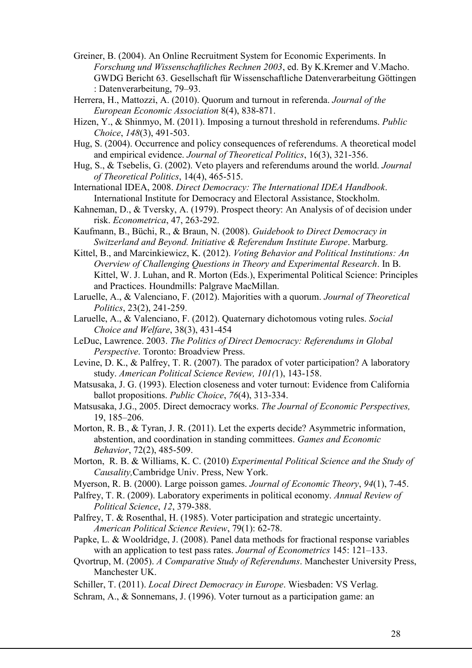- Greiner, B. (2004). An Online Recruitment System for Economic Experiments. In *Forschung und Wissenschaftliches Rechnen 2003*, ed. By K.Kremer and V.Macho. GWDG Bericht 63. Gesellschaft für Wissenschaftliche Datenverarbeitung Göttingen : Datenverarbeitung, 79–93.
- Herrera, H., Mattozzi, A. (2010). Quorum and turnout in referenda. *Journal of the European Economic Association* 8(4), 838-871.
- Hizen, Y., & Shinmyo, M. (2011). Imposing a turnout threshold in referendums. *Public Choice*, *148*(3), 491-503.
- Hug, S. (2004). Occurrence and policy consequences of referendums. A theoretical model and empirical evidence. *Journal of Theoretical Politics*, 16(3), 321-356.
- Hug, S., & Tsebelis, G. (2002). Veto players and referendums around the world. *Journal of Theoretical Politics*, 14(4), 465-515.
- International IDEA, 2008. *Direct Democracy: The International IDEA Handbook*. International Institute for Democracy and Electoral Assistance, Stockholm.
- Kahneman, D., & Tversky, A. (1979). Prospect theory: An Analysis of of decision under risk. *Econometrica*, 47, 263-292.
- Kaufmann, B., Büchi, R., & Braun, N. (2008). *Guidebook to Direct Democracy in Switzerland and Beyond. Initiative & Referendum Institute Europe*. Marburg.
- Kittel, B., and Marcinkiewicz, K. (2012). *Voting Behavior and Political Institutions: An Overview of Challenging Questions in Theory and Experimental Research*. In B. Kittel, W. J. Luhan, and R. Morton (Eds.), Experimental Political Science: Principles and Practices. Houndmills: Palgrave MacMillan.
- Laruelle, A., & Valenciano, F. (2012). Majorities with a quorum. *Journal of Theoretical Politics*, 23(2), 241-259.
- Laruelle, A., & Valenciano, F. (2012). Quaternary dichotomous voting rules. *Social Choice and Welfare*, 38(3), 431-454
- LeDuc, Lawrence. 2003. *The Politics of Direct Democracy: Referendums in Global Perspective*. Toronto: Broadview Press.
- Levine, D. K., & Palfrey, T. R. (2007). The paradox of voter participation? A laboratory study. *American Political Science Review, 101(*1), 143-158.
- Matsusaka, J. G. (1993). Election closeness and voter turnout: Evidence from California ballot propositions. *Public Choice*, *76*(4), 313-334.
- Matsusaka, J.G., 2005. Direct democracy works. *The Journal of Economic Perspectives,* 19, 185–206.
- Morton, R. B., & Tyran, J. R. (2011). Let the experts decide? Asymmetric information, abstention, and coordination in standing committees. *Games and Economic Behavior*, 72(2), 485-509.
- Morton, R. B. & Williams, K. C. (2010) *Experimental Political Science and the Study of Causality,*Cambridge Univ. Press, New York.
- Myerson, R. B. (2000). Large poisson games. *Journal of Economic Theory*, *94*(1), 7-45.
- Palfrey, T. R. (2009). Laboratory experiments in political economy. *Annual Review of Political Science*, *12*, 379-388.
- Palfrey, T. & Rosenthal, H. (1985). Voter participation and strategic uncertainty. *American Political Science Review*, 79(1): 62-78.
- Papke, L. & Wooldridge, J. (2008). Panel data methods for fractional response variables with an application to test pass rates. *Journal of Econometrics* 145: 121–133.
- Qvortrup, M. (2005). *A Comparative Study of Referendums*. Manchester University Press, Manchester UK.
- Schiller, T. (2011). *Local Direct Democracy in Europe*. Wiesbaden: VS Verlag.
- Schram, A., & Sonnemans, J. (1996). Voter turnout as a participation game: an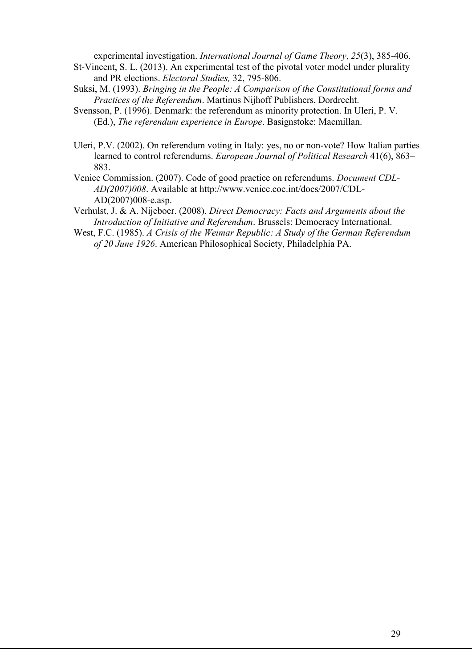experimental investigation. *International Journal of Game Theory*, *25*(3), 385-406.

- St-Vincent, S. L. (2013). An experimental test of the pivotal voter model under plurality and PR elections. *Electoral Studies,* 32, 795-806.
- Suksi, M. (1993). *Bringing in the People: A Comparison of the Constitutional forms and Practices of the Referendum*. Martinus Nijhoff Publishers, Dordrecht.
- Svensson, P. (1996). Denmark: the referendum as minority protection. In Uleri, P. V. (Ed.), *The referendum experience in Europe*. Basignstoke: Macmillan.
- Uleri, P.V. (2002). On referendum voting in Italy: yes, no or non-vote? How Italian parties learned to control referendums. *European Journal of Political Research* 41(6), 863– 883.
- Venice Commission. (2007). Code of good practice on referendums. *Document CDL-AD(2007)008*. Available at http://www.venice.coe.int/docs/2007/CDL-AD(2007)008-e.asp.
- Verhulst, J. & A. Nijeboer. (2008). *Direct Democracy: Facts and Arguments about the Introduction of Initiative and Referendum*. Brussels: Democracy International.
- West, F.C. (1985). *A Crisis of the Weimar Republic: A Study of the German Referendum of 20 June 1926*. American Philosophical Society, Philadelphia PA.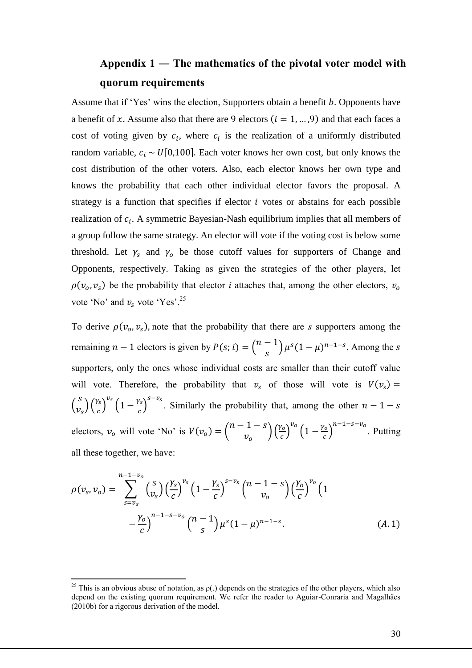## **Appendix 1 ― The mathematics of the pivotal voter model with quorum requirements**

Assume that if 'Yes' wins the election, Supporters obtain a benefit  $b$ . Opponents have a benefit of x. Assume also that there are 9 electors  $(i = 1, ..., 9)$  and that each faces a cost of voting given by  $c_i$ , where  $c_i$  is the realization of a uniformly distributed random variable,  $c_i \sim U[0,100]$ . Each voter knows her own cost, but only knows the cost distribution of the other voters. Also, each elector knows her own type and knows the probability that each other individual elector favors the proposal. A strategy is a function that specifies if elector  $i$  votes or abstains for each possible realization of  $c_i$ . A symmetric Bayesian-Nash equilibrium implies that all members of a group follow the same strategy. An elector will vote if the voting cost is below some threshold. Let  $\gamma_s$  and  $\gamma_o$  be those cutoff values for supporters of Change and Opponents, respectively. Taking as given the strategies of the other players, let  $\rho(v_o, v_s)$  be the probability that elector *i* attaches that, among the other electors,  $v_o$ vote 'No' and  $v_s$  vote 'Yes'.<sup>25</sup>

To derive  $\rho(v_0, v_s)$ , note that the probability that there are *s* supporters among the remaining  $n-1$  electors is given by  $P(s; i) = \binom{n-1}{i}$  $\int_{S}^{-1} \mu^{s} (1-\mu)^{n-1-s}$ . Among the s supporters, only the ones whose individual costs are smaller than their cutoff value will vote. Therefore, the probability that  $v_s$  of those will vote is  $V(v_s) =$ ( s  $\binom{S}{v_s}$   $\left(\frac{\gamma_s}{c}\right)$  $\left(\frac{\gamma_S}{c}\right)^{\nu_S}\left(1-\frac{\gamma_S}{c}\right)$  $\frac{\gamma_s}{c}$  Similarly the probability that, among the other  $n-1-s$ electors,  $v_o$  will vote 'No' is  $V(v_o) = \binom{n-1-s}{n}$  $\left(\frac{1-s}{v_o}\right)\left(\frac{v_o}{c}\right)$  $\left(\frac{\gamma_o}{c}\right)^{\nu_o}\left(1-\frac{\gamma_o}{c}\right)$  $\left(\frac{\gamma_0}{c}\right)^{n-1-s-v_0}$ . Putting all these together, we have:

$$
\rho(v_s, v_o) = \sum_{s=v_s}^{n-1-v_o} {s \choose v_s} \left(\frac{\gamma_s}{c}\right)^{v_s} \left(1 - \frac{\gamma_s}{c}\right)^{s-v_s} {n-1-s \choose v_o} \left(\frac{\gamma_o}{c}\right)^{v_o} \left(1 - \frac{\gamma_o}{c}\right)^{n-1-s-v_o} - \frac{\gamma_o}{c} \Big)^{n-1-s-v_o} {n-1 \choose s} \mu^s (1-\mu)^{n-1-s}.
$$
\n(A.1)

 $\overline{a}$ 

<sup>&</sup>lt;sup>25</sup> This is an obvious abuse of notation, as  $p(.)$  depends on the strategies of the other players, which also depend on the existing quorum requirement. We refer the reader to Aguiar-Conraria and Magalhães (2010b) for a rigorous derivation of the model.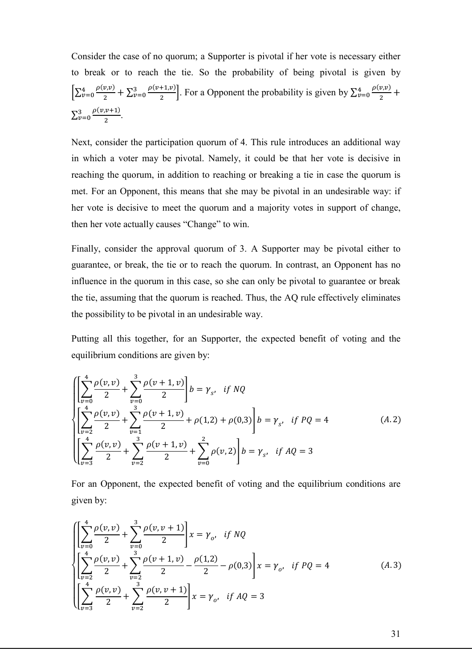Consider the case of no quorum; a Supporter is pivotal if her vote is necessary either to break or to reach the tie. So the probability of being pivotal is given by  $\left[\sum_{v=0}^{4}\frac{\rho(v,v)}{2}\right]$ 2  $\frac{\rho(v,v)}{v=0} + \sum_{v=0}^{3} \frac{\rho(v+1,v)}{2}$ 2  $\frac{3}{v=0} \frac{\rho(v+1,v)}{2}$ . For a Opponent the probability is given by  $\sum_{v=0}^{4} \frac{\rho(v,v)}{2}$ 2  $\frac{\rho(v,v)}{v=0}$  +  $\sum_{v=0}^{3} \frac{\rho(v,v+1)}{2}$ 2  $rac{p(v,v+1)}{2}$ .

Next, consider the participation quorum of 4. This rule introduces an additional way in which a voter may be pivotal. Namely, it could be that her vote is decisive in reaching the quorum, in addition to reaching or breaking a tie in case the quorum is met. For an Opponent, this means that she may be pivotal in an undesirable way: if her vote is decisive to meet the quorum and a majority votes in support of change, then her vote actually causes "Change" to win.

Finally, consider the approval quorum of 3. A Supporter may be pivotal either to guarantee, or break, the tie or to reach the quorum. In contrast, an Opponent has no influence in the quorum in this case, so she can only be pivotal to guarantee or break the tie, assuming that the quorum is reached. Thus, the AQ rule effectively eliminates the possibility to be pivotal in an undesirable way.

Putting all this together, for an Supporter, the expected benefit of voting and the equilibrium conditions are given by:

$$
\begin{cases}\n\left[\sum_{v=0}^{4} \frac{\rho(v,v)}{2} + \sum_{v=0}^{3} \frac{\rho(v+1,v)}{2}\right] b = \gamma_{s}, & \text{if } NQ \\
\left[\sum_{v=2}^{4} \frac{\rho(v,v)}{2} + \sum_{v=1}^{3} \frac{\rho(v+1,v)}{2} + \rho(1,2) + \rho(0,3)\right] b = \gamma_{s}, & \text{if } PQ = 4 \\
\left[\sum_{v=3}^{4} \frac{\rho(v,v)}{2} + \sum_{v=2}^{3} \frac{\rho(v+1,v)}{2} + \sum_{v=0}^{2} \rho(v,2)\right] b = \gamma_{s}, & \text{if } AQ = 3\n\end{cases}
$$
\n(A.2)

For an Opponent, the expected benefit of voting and the equilibrium conditions are given by:

$$
\begin{cases}\n\left[\sum_{v=0}^{4} \frac{\rho(v,v)}{2} + \sum_{v=0}^{3} \frac{\rho(v,v+1)}{2}\right]x = \gamma_o, & \text{if } NQ \\
\left[\sum_{v=2}^{4} \frac{\rho(v,v)}{2} + \sum_{v=2}^{3} \frac{\rho(v+1,v)}{2} - \frac{\rho(1,2)}{2} - \rho(0,3)\right]x = \gamma_o, & \text{if } PQ = 4 \\
\left[\sum_{v=3}^{4} \frac{\rho(v,v)}{2} + \sum_{v=2}^{3} \frac{\rho(v,v+1)}{2}\right]x = \gamma_o, & \text{if } AQ = 3\n\end{cases}
$$
\n(A.3)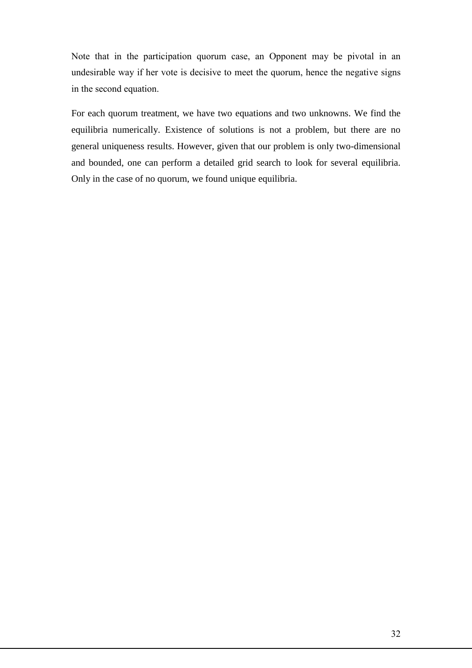Note that in the participation quorum case, an Opponent may be pivotal in an undesirable way if her vote is decisive to meet the quorum, hence the negative signs in the second equation.

For each quorum treatment, we have two equations and two unknowns. We find the equilibria numerically. Existence of solutions is not a problem, but there are no general uniqueness results. However, given that our problem is only two-dimensional and bounded, one can perform a detailed grid search to look for several equilibria. Only in the case of no quorum, we found unique equilibria.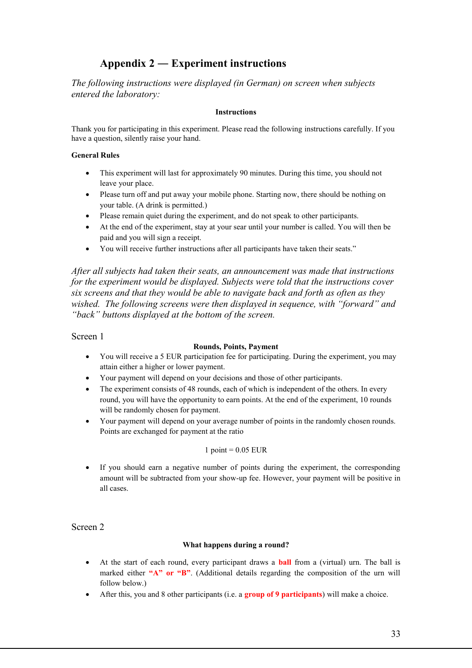## **Appendix 2 ― Experiment instructions**

*The following instructions were displayed (in German) on screen when subjects entered the laboratory:*

#### **Instructions**

Thank you for participating in this experiment. Please read the following instructions carefully. If you have a question, silently raise your hand.

#### **General Rules**

- This experiment will last for approximately 90 minutes. During this time, you should not leave your place.
- Please turn off and put away your mobile phone. Starting now, there should be nothing on your table. (A drink is permitted.)
- Please remain quiet during the experiment, and do not speak to other participants.
- At the end of the experiment, stay at your sear until your number is called. You will then be paid and you will sign a receipt.
- You will receive further instructions after all participants have taken their seats."

*After all subjects had taken their seats, an announcement was made that instructions for the experiment would be displayed. Subjects were told that the instructions cover six screens and that they would be able to navigate back and forth as often as they wished. The following screens were then displayed in sequence, with "forward" and "back" buttons displayed at the bottom of the screen.*

### Screen 1

### **Rounds, Points, Payment**

- You will receive a 5 EUR participation fee for participating. During the experiment, you may attain either a higher or lower payment.
- Your payment will depend on your decisions and those of other participants.
- The experiment consists of 48 rounds, each of which is independent of the others. In every round, you will have the opportunity to earn points. At the end of the experiment, 10 rounds will be randomly chosen for payment.
- Your payment will depend on your average number of points in the randomly chosen rounds. Points are exchanged for payment at the ratio

#### $1$  point =  $0.05$  EUR

 If you should earn a negative number of points during the experiment, the corresponding amount will be subtracted from your show-up fee. However, your payment will be positive in all cases.

Screen 2

#### **What happens during a round?**

- At the start of each round, every participant draws a **ball** from a (virtual) urn. The ball is marked either "A" or "B". (Additional details regarding the composition of the urn will follow below.)
- After this, you and 8 other participants (i.e. a **group of 9 participants**) will make a choice.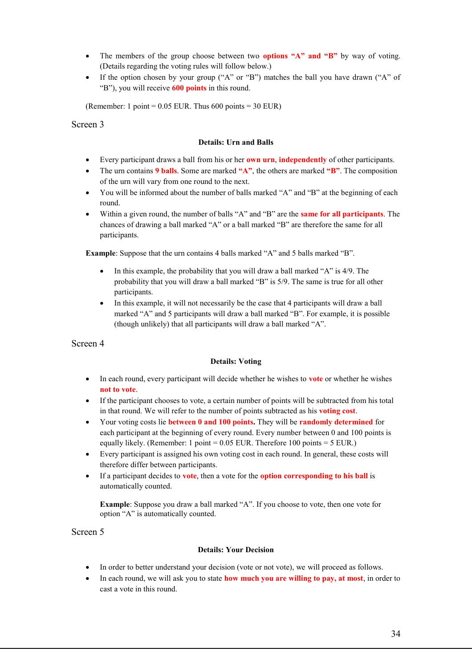- The members of the group choose between two **options "A" and "B"** by way of voting. (Details regarding the voting rules will follow below.)
- If the option chosen by your group ("A" or "B") matches the ball you have drawn ("A" of "B"), you will receive **600 points** in this round.

(Remember: 1 point =  $0.05$  EUR. Thus 600 points =  $30$  EUR)

Screen 3

#### **Details: Urn and Balls**

- Every participant draws a ball from his or her **own urn**, **independently** of other participants.
- The urn contains **9 balls**. Some are marked **"A"**, the others are marked **"B"**. The composition of the urn will vary from one round to the next.
- You will be informed about the number of balls marked "A" and "B" at the beginning of each round.
- Within a given round, the number of balls "A" and "B" are the **same for all participants**. The chances of drawing a ball marked "A" or a ball marked "B" are therefore the same for all participants.

**Example**: Suppose that the urn contains 4 balls marked "A" and 5 balls marked "B".

- In this example, the probability that you will draw a ball marked "A" is 4/9. The probability that you will draw a ball marked "B" is 5/9. The same is true for all other participants.
- In this example, it will not necessarily be the case that 4 participants will draw a ball marked "A" and 5 participants will draw a ball marked "B". For example, it is possible (though unlikely) that all participants will draw a ball marked "A".

Screen 4

#### **Details: Voting**

- In each round, every participant will decide whether he wishes to **vote** or whether he wishes **not to vote**.
- If the participant chooses to vote, a certain number of points will be subtracted from his total in that round. We will refer to the number of points subtracted as his **voting cost**.
- Your voting costs lie **between 0 and 100 points.** They will be **randomly determined** for each participant at the beginning of every round. Every number between 0 and 100 points is equally likely. (Remember: 1 point =  $0.05$  EUR. Therefore 100 points =  $5$  EUR.)
- Every participant is assigned his own voting cost in each round. In general, these costs will therefore differ between participants.
- If a participant decides to **vote**, then a vote for the **option corresponding to his ball** is automatically counted.

**Example**: Suppose you draw a ball marked "A". If you choose to vote, then one vote for option "A" is automatically counted.

Screen 5

#### **Details: Your Decision**

- In order to better understand your decision (vote or not vote), we will proceed as follows.
- In each round, we will ask you to state **how much you are willing to pay, at most**, in order to cast a vote in this round.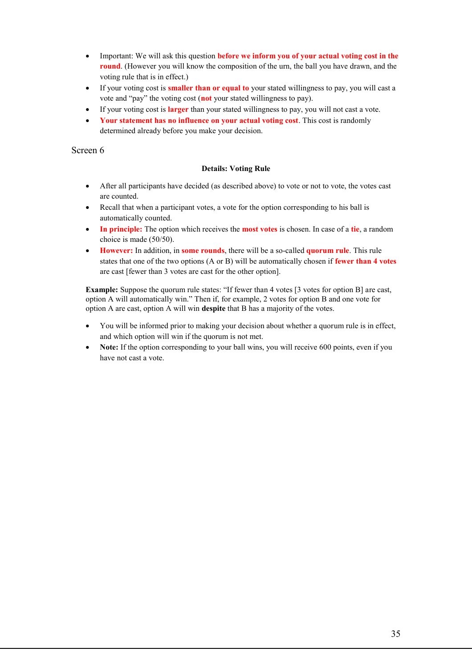- Important: We will ask this question **before we inform you of your actual voting cost in the round**. (However you will know the composition of the urn, the ball you have drawn, and the voting rule that is in effect.)
- If your voting cost is **smaller than or equal to** your stated willingness to pay, you will cast a vote and "pay" the voting cost (**not** your stated willingness to pay).
- If your voting cost is **larger** than your stated willingness to pay, you will not cast a vote.
- **Your statement has no influence on your actual voting cost**. This cost is randomly determined already before you make your decision.

Screen 6

#### **Details: Voting Rule**

- After all participants have decided (as described above) to vote or not to vote, the votes cast are counted.
- Recall that when a participant votes, a vote for the option corresponding to his ball is automatically counted.
- **In principle:** The option which receives the **most votes** is chosen. In case of a **tie**, a random choice is made (50/50).
- **However:** In addition, in **some rounds**, there will be a so-called **quorum rule**. This rule states that one of the two options (A or B) will be automatically chosen if **fewer than 4 votes** are cast [fewer than 3 votes are cast for the other option].

**Example:** Suppose the quorum rule states: "If fewer than 4 votes [3 votes for option B] are cast, option A will automatically win." Then if, for example, 2 votes for option B and one vote for option A are cast, option A will win **despite** that B has a majority of the votes.

- You will be informed prior to making your decision about whether a quorum rule is in effect, and which option will win if the quorum is not met.
- **Note:** If the option corresponding to your ball wins, you will receive 600 points, even if you have not cast a vote.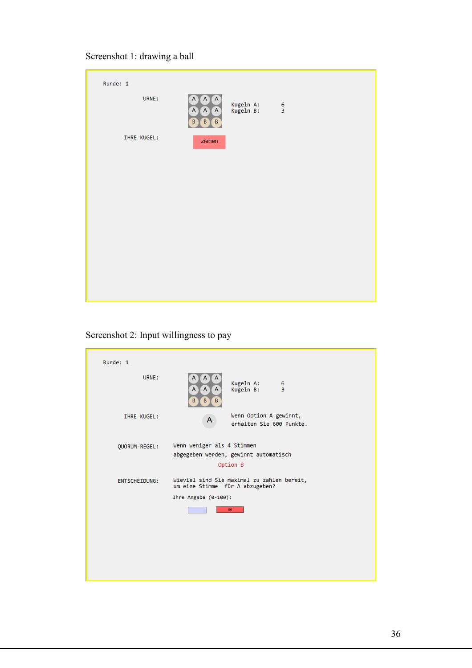## Screenshot 1: drawing a ball

| Runde: 1    |                                                            |                        |                                       |  |
|-------------|------------------------------------------------------------|------------------------|---------------------------------------|--|
| URNE:       | AAA<br>A<br>$A \mid A$<br>$\boxed{B}$<br>B<br>$\mathbf{B}$ | Kugeln A:<br>Kugeln B: | $\begin{array}{c} 6 \\ 3 \end{array}$ |  |
| IHRE KUGEL: | ziehen                                                     |                        |                                       |  |
|             |                                                            |                        |                                       |  |
|             |                                                            |                        |                                       |  |
|             |                                                            |                        |                                       |  |
|             |                                                            |                        |                                       |  |

Screenshot 2: Input willingness to pay

| Runde: 1             |                                                                                                          |                                                    |                     |  |  |  |
|----------------------|----------------------------------------------------------------------------------------------------------|----------------------------------------------------|---------------------|--|--|--|
| URNE:                | $A^{\circ}$<br>$\mathsf{A}$<br>A<br>$A^{\circ}$<br>$\mathsf{A}$<br>$\mathsf{A}$<br>B<br>B<br>B           | Kugeln A:<br>Kugeln B:                             | 6<br>$\overline{3}$ |  |  |  |
| <b>IHRE KUGEL:</b>   | A                                                                                                        | Wenn Option A gewinnt,<br>erhalten Sie 600 Punkte. |                     |  |  |  |
| QUORUM-REGEL:        | Wenn weniger als 4 Stimmen<br>abgegeben werden, gewinnt automatisch<br>Option B                          |                                                    |                     |  |  |  |
| <b>ENTSCHEIDUNG:</b> | Wieviel sind Sie maximal zu zahlen bereit,<br>um eine Stimme für A abzugeben?<br>Ihre Angabe $(0-100)$ : | OK                                                 |                     |  |  |  |